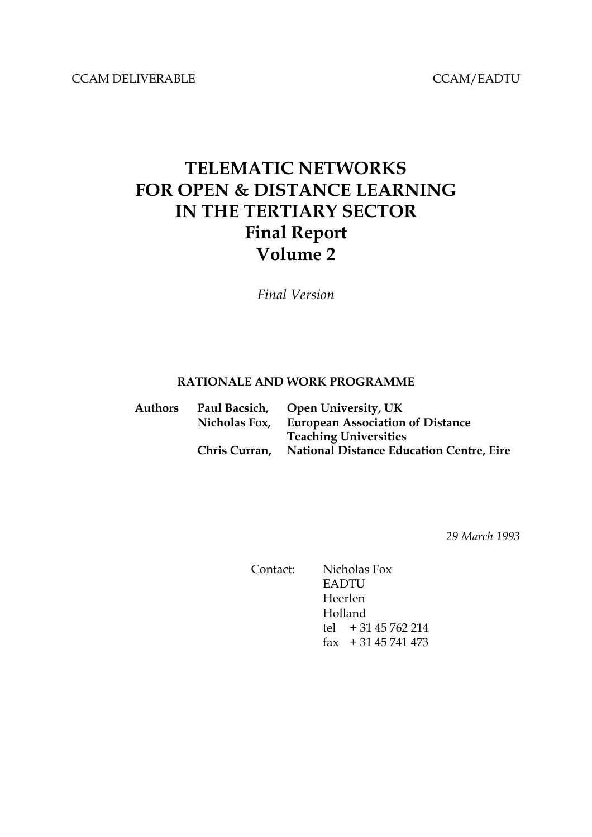CCAM DELIVERABLE CCAM/EADTU

# **TELEMATIC NETWORKS FOR OPEN & DISTANCE LEARNING IN THE TERTIARY SECTOR Final Report Volume 2**

*Final Version*

#### **RATIONALE AND WORK PROGRAMME**

| Authors |               | Paul Bacsich, Open University, UK               |
|---------|---------------|-------------------------------------------------|
|         | Nicholas Fox, | <b>European Association of Distance</b>         |
|         |               | <b>Teaching Universities</b>                    |
|         | Chris Curran, | <b>National Distance Education Centre, Eire</b> |
|         |               |                                                 |

*29 March 1993*

Contact: Nicholas Fox EADTU Heerlen Holland tel + 31 45 762 214 fax + 31 45 741 473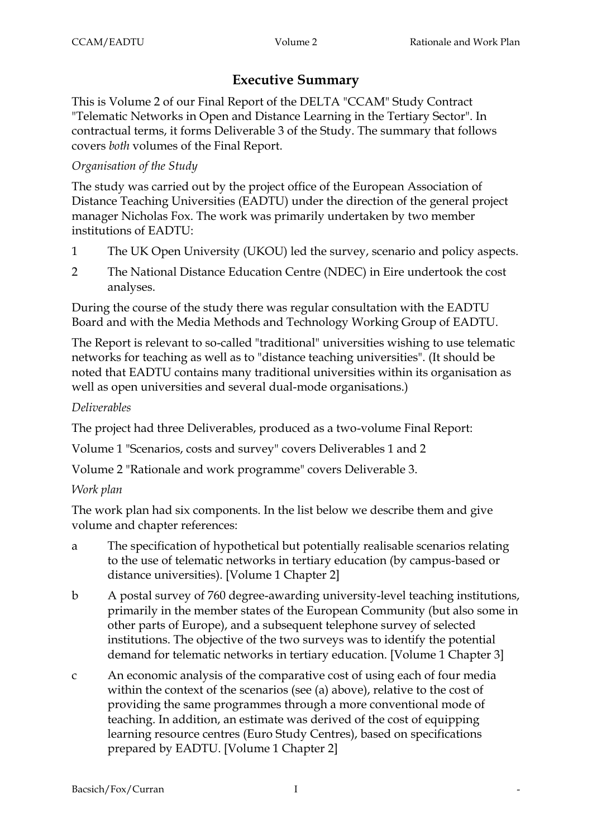# **Executive Summary**

This is Volume 2 of our Final Report of the DELTA "CCAM" Study Contract "Telematic Networks in Open and Distance Learning in the Tertiary Sector". In contractual terms, it forms Deliverable 3 of the Study. The summary that follows covers *both* volumes of the Final Report.

# *Organisation of the Study*

The study was carried out by the project office of the European Association of Distance Teaching Universities (EADTU) under the direction of the general project manager Nicholas Fox. The work was primarily undertaken by two member institutions of EADTU:

- 1 The UK Open University (UKOU) led the survey, scenario and policy aspects.
- 2 The National Distance Education Centre (NDEC) in Eire undertook the cost analyses.

During the course of the study there was regular consultation with the EADTU Board and with the Media Methods and Technology Working Group of EADTU.

The Report is relevant to so-called "traditional" universities wishing to use telematic networks for teaching as well as to "distance teaching universities". (It should be noted that EADTU contains many traditional universities within its organisation as well as open universities and several dual-mode organisations.)

### *Deliverables*

The project had three Deliverables, produced as a two-volume Final Report:

Volume 1 "Scenarios, costs and survey" covers Deliverables 1 and 2

Volume 2 "Rationale and work programme" covers Deliverable 3.

# *Work plan*

The work plan had six components. In the list below we describe them and give volume and chapter references:

- a The specification of hypothetical but potentially realisable scenarios relating to the use of telematic networks in tertiary education (by campus-based or distance universities). [Volume 1 Chapter 2]
- b A postal survey of 760 degree-awarding university-level teaching institutions, primarily in the member states of the European Community (but also some in other parts of Europe), and a subsequent telephone survey of selected institutions. The objective of the two surveys was to identify the potential demand for telematic networks in tertiary education. [Volume 1 Chapter 3]
- c An economic analysis of the comparative cost of using each of four media within the context of the scenarios (see (a) above), relative to the cost of providing the same programmes through a more conventional mode of teaching. In addition, an estimate was derived of the cost of equipping learning resource centres (Euro Study Centres), based on specifications prepared by EADTU. [Volume 1 Chapter 2]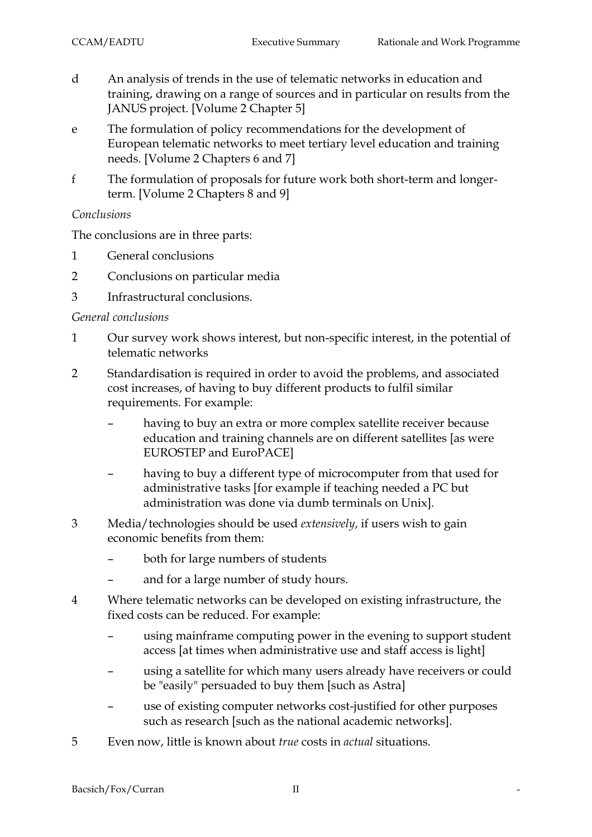- d An analysis of trends in the use of telematic networks in education and training, drawing on a range of sources and in particular on results from the JANUS project. [Volume 2 Chapter 5]
- e The formulation of policy recommendations for the development of European telematic networks to meet tertiary level education and training needs. [Volume 2 Chapters 6 and 7]
- f The formulation of proposals for future work both short-term and longerterm. [Volume 2 Chapters 8 and 9]

### *Conclusions*

The conclusions are in three parts:

- 1 General conclusions
- 2 Conclusions on particular media
- 3 Infrastructural conclusions.

### *General conclusions*

- 1 Our survey work shows interest, but non-specific interest, in the potential of telematic networks
- 2 Standardisation is required in order to avoid the problems, and associated cost increases, of having to buy different products to fulfil similar requirements. For example:
	- having to buy an extra or more complex satellite receiver because education and training channels are on different satellites [as were EUROSTEP and EuroPACE]
	- having to buy a different type of microcomputer from that used for administrative tasks [for example if teaching needed a PC but administration was done via dumb terminals on Unix].
- 3 Media/technologies should be used *extensively*, if users wish to gain economic benefits from them:
	- both for large numbers of students
	- and for a large number of study hours.
- 4 Where telematic networks can be developed on existing infrastructure, the fixed costs can be reduced. For example:
	- using mainframe computing power in the evening to support student access [at times when administrative use and staff access is light]
	- using a satellite for which many users already have receivers or could be "easily" persuaded to buy them [such as Astra]
	- use of existing computer networks cost-justified for other purposes such as research [such as the national academic networks].
- 5 Even now, little is known about *true* costs in *actual* situations.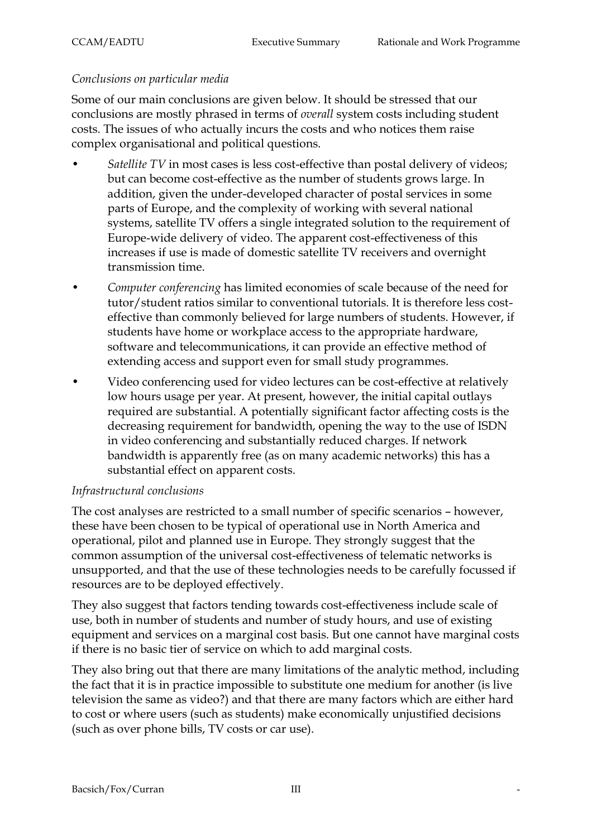#### *Conclusions on particular media*

Some of our main conclusions are given below. It should be stressed that our conclusions are mostly phrased in terms of *overall* system costs including student costs. The issues of who actually incurs the costs and who notices them raise complex organisational and political questions.

- Satellite TV in most cases is less cost-effective than postal delivery of videos; but can become cost-effective as the number of students grows large. In addition, given the under-developed character of postal services in some parts of Europe, and the complexity of working with several national systems, satellite TV offers a single integrated solution to the requirement of Europe-wide delivery of video. The apparent cost-effectiveness of this increases if use is made of domestic satellite TV receivers and overnight transmission time.
- *Computer conferencing* has limited economies of scale because of the need for tutor/student ratios similar to conventional tutorials. It is therefore less costeffective than commonly believed for large numbers of students. However, if students have home or workplace access to the appropriate hardware, software and telecommunications, it can provide an effective method of extending access and support even for small study programmes.
- Video conferencing used for video lectures can be cost-effective at relatively low hours usage per year. At present, however, the initial capital outlays required are substantial. A potentially significant factor affecting costs is the decreasing requirement for bandwidth, opening the way to the use of ISDN in video conferencing and substantially reduced charges. If network bandwidth is apparently free (as on many academic networks) this has a substantial effect on apparent costs.

#### *Infrastructural conclusions*

The cost analyses are restricted to a small number of specific scenarios – however, these have been chosen to be typical of operational use in North America and operational, pilot and planned use in Europe. They strongly suggest that the common assumption of the universal cost-effectiveness of telematic networks is unsupported, and that the use of these technologies needs to be carefully focussed if resources are to be deployed effectively.

They also suggest that factors tending towards cost-effectiveness include scale of use, both in number of students and number of study hours, and use of existing equipment and services on a marginal cost basis. But one cannot have marginal costs if there is no basic tier of service on which to add marginal costs.

They also bring out that there are many limitations of the analytic method, including the fact that it is in practice impossible to substitute one medium for another (is live television the same as video?) and that there are many factors which are either hard to cost or where users (such as students) make economically unjustified decisions (such as over phone bills, TV costs or car use).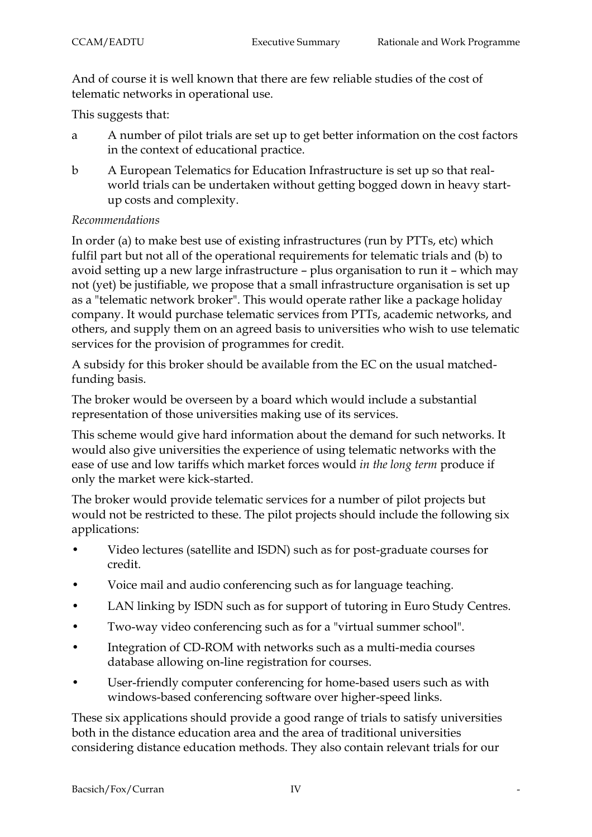And of course it is well known that there are few reliable studies of the cost of telematic networks in operational use.

This suggests that:

- a A number of pilot trials are set up to get better information on the cost factors in the context of educational practice.
- b A European Telematics for Education Infrastructure is set up so that realworld trials can be undertaken without getting bogged down in heavy startup costs and complexity.

### *Recommendations*

In order (a) to make best use of existing infrastructures (run by PTTs, etc) which fulfil part but not all of the operational requirements for telematic trials and (b) to avoid setting up a new large infrastructure – plus organisation to run it – which may not (yet) be justifiable, we propose that a small infrastructure organisation is set up as a "telematic network broker". This would operate rather like a package holiday company. It would purchase telematic services from PTTs, academic networks, and others, and supply them on an agreed basis to universities who wish to use telematic services for the provision of programmes for credit.

A subsidy for this broker should be available from the EC on the usual matchedfunding basis.

The broker would be overseen by a board which would include a substantial representation of those universities making use of its services.

This scheme would give hard information about the demand for such networks. It would also give universities the experience of using telematic networks with the ease of use and low tariffs which market forces would *in the long term* produce if only the market were kick-started.

The broker would provide telematic services for a number of pilot projects but would not be restricted to these. The pilot projects should include the following six applications:

- Video lectures (satellite and ISDN) such as for post-graduate courses for credit.
- Voice mail and audio conferencing such as for language teaching.
- LAN linking by ISDN such as for support of tutoring in Euro Study Centres.
- Two-way video conferencing such as for a "virtual summer school".
- Integration of CD-ROM with networks such as a multi-media courses database allowing on-line registration for courses.
- User-friendly computer conferencing for home-based users such as with windows-based conferencing software over higher-speed links.

These six applications should provide a good range of trials to satisfy universities both in the distance education area and the area of traditional universities considering distance education methods. They also contain relevant trials for our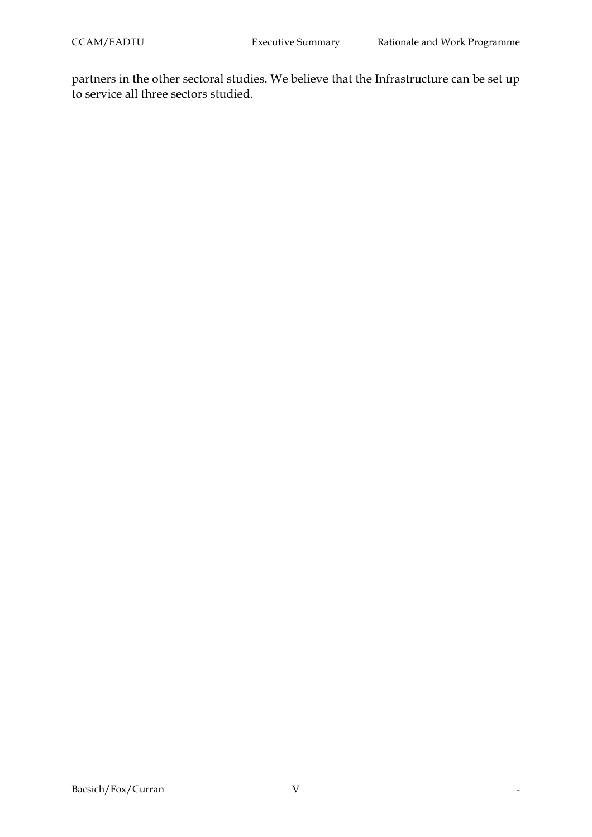partners in the other sectoral studies. We believe that the Infrastructure can be set up to service all three sectors studied.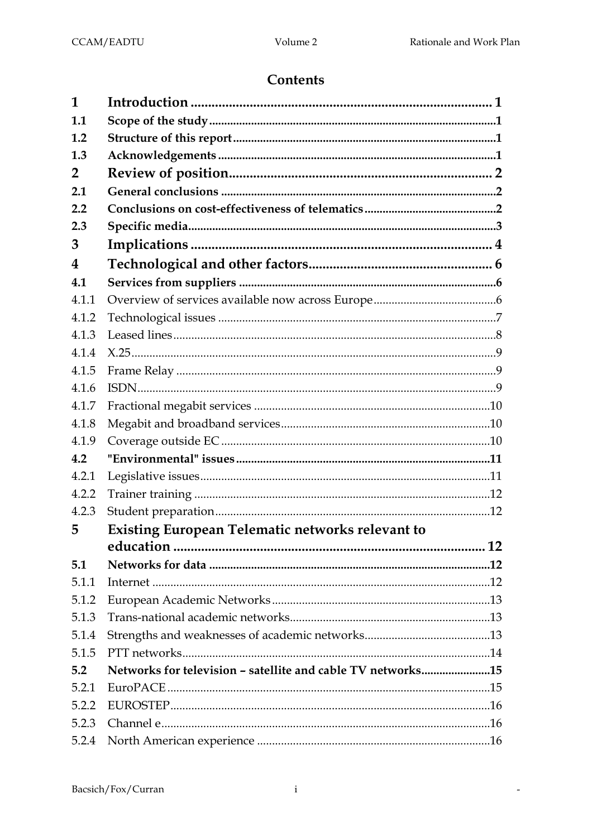$\mathbb{Z}$ 

# **Contents**

| 1              |                                                             |  |
|----------------|-------------------------------------------------------------|--|
| 1.1            |                                                             |  |
| 1.2            |                                                             |  |
| 1.3            |                                                             |  |
| $\overline{2}$ |                                                             |  |
| 2.1            |                                                             |  |
| 2.2            |                                                             |  |
| 2.3            |                                                             |  |
| 3              |                                                             |  |
| 4              |                                                             |  |
| 4.1            |                                                             |  |
| 4.1.1          |                                                             |  |
| 4.1.2          |                                                             |  |
| 4.1.3          |                                                             |  |
| 4.1.4          |                                                             |  |
| 4.1.5          |                                                             |  |
| 4.1.6          |                                                             |  |
| 4.1.7          |                                                             |  |
| 4.1.8          |                                                             |  |
| 4.1.9          |                                                             |  |
| 4.2            |                                                             |  |
| 4.2.1          |                                                             |  |
| 4.2.2          |                                                             |  |
| 4.2.3          |                                                             |  |
| 5              | <b>Existing European Telematic networks relevant to</b>     |  |
|                |                                                             |  |
| 5.1            |                                                             |  |
| 5.1.1          |                                                             |  |
| 5.1.2          |                                                             |  |
| 5.1.3          |                                                             |  |
| 5.1.4          |                                                             |  |
| 5.1.5          |                                                             |  |
| 5.2            | Networks for television - satellite and cable TV networks15 |  |
| 5.2.1          |                                                             |  |
| 5.2.2          |                                                             |  |
| 5.2.3          |                                                             |  |
| 5.2.4          |                                                             |  |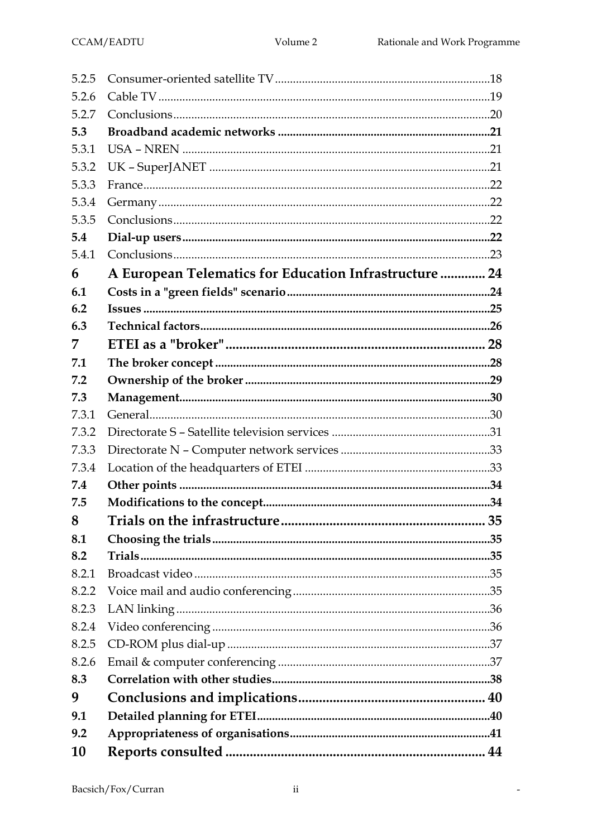$\mathbb{Z}$ 

| 5.2.5 |                                                        |  |
|-------|--------------------------------------------------------|--|
| 5.2.6 |                                                        |  |
| 5.2.7 |                                                        |  |
| 5.3   |                                                        |  |
| 5.3.1 |                                                        |  |
| 5.3.2 |                                                        |  |
| 5.3.3 |                                                        |  |
| 5.3.4 |                                                        |  |
| 5.3.5 |                                                        |  |
| 5.4   |                                                        |  |
| 5.4.1 |                                                        |  |
| 6     | A European Telematics for Education Infrastructure  24 |  |
| 6.1   |                                                        |  |
| 6.2   |                                                        |  |
| 6.3   |                                                        |  |
| 7     |                                                        |  |
| 7.1   |                                                        |  |
| 7.2   |                                                        |  |
| 7.3   |                                                        |  |
| 7.3.1 |                                                        |  |
| 7.3.2 |                                                        |  |
| 7.3.3 |                                                        |  |
| 7.3.4 |                                                        |  |
| 7.4   |                                                        |  |
| 7.5   |                                                        |  |
| 8     |                                                        |  |
| 8.1   |                                                        |  |
| 8.2   |                                                        |  |
| 8.2.1 |                                                        |  |
| 8.2.2 |                                                        |  |
| 8.2.3 |                                                        |  |
| 8.2.4 |                                                        |  |
| 8.2.5 |                                                        |  |
| 8.2.6 |                                                        |  |
| 8.3   |                                                        |  |
| 9     |                                                        |  |
| 9.1   |                                                        |  |
| 9.2   |                                                        |  |
| 10    |                                                        |  |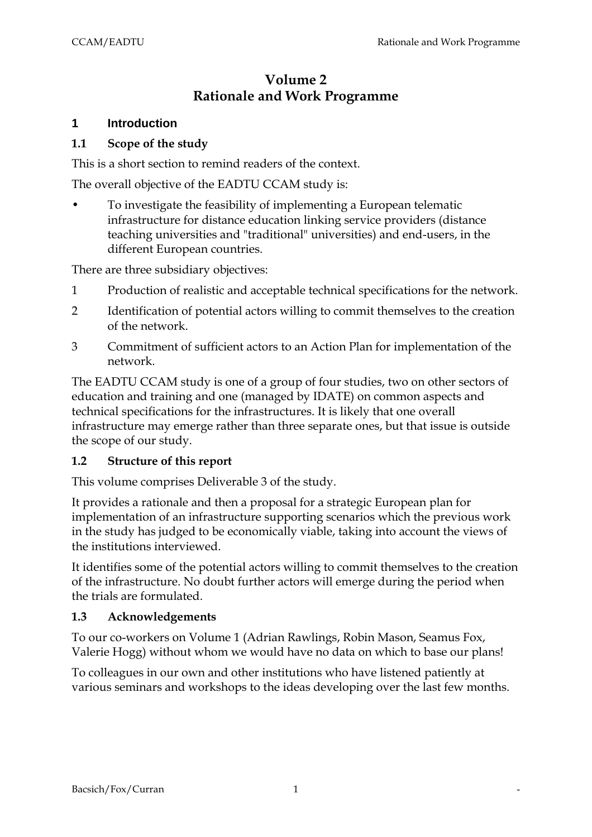# **Volume 2 Rationale and Work Programme**

#### **1 Introduction**

#### **1.1 Scope of the study**

This is a short section to remind readers of the context.

The overall objective of the EADTU CCAM study is:

• To investigate the feasibility of implementing a European telematic infrastructure for distance education linking service providers (distance teaching universities and "traditional" universities) and end-users, in the different European countries.

There are three subsidiary objectives:

- 1 Production of realistic and acceptable technical specifications for the network.
- 2 Identification of potential actors willing to commit themselves to the creation of the network.
- 3 Commitment of sufficient actors to an Action Plan for implementation of the network.

The EADTU CCAM study is one of a group of four studies, two on other sectors of education and training and one (managed by IDATE) on common aspects and technical specifications for the infrastructures. It is likely that one overall infrastructure may emerge rather than three separate ones, but that issue is outside the scope of our study.

#### **1.2 Structure of this report**

This volume comprises Deliverable 3 of the study.

It provides a rationale and then a proposal for a strategic European plan for implementation of an infrastructure supporting scenarios which the previous work in the study has judged to be economically viable, taking into account the views of the institutions interviewed.

It identifies some of the potential actors willing to commit themselves to the creation of the infrastructure. No doubt further actors will emerge during the period when the trials are formulated.

#### **1.3 Acknowledgements**

To our co-workers on Volume 1 (Adrian Rawlings, Robin Mason, Seamus Fox, Valerie Hogg) without whom we would have no data on which to base our plans!

To colleagues in our own and other institutions who have listened patiently at various seminars and workshops to the ideas developing over the last few months.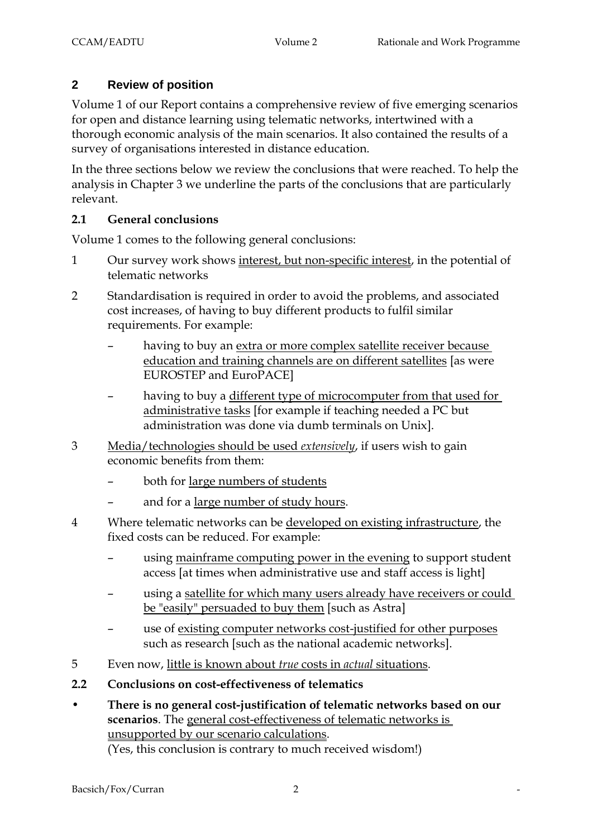# **2 Review of position**

Volume 1 of our Report contains a comprehensive review of five emerging scenarios for open and distance learning using telematic networks, intertwined with a thorough economic analysis of the main scenarios. It also contained the results of a survey of organisations interested in distance education.

In the three sections below we review the conclusions that were reached. To help the analysis in Chapter 3 we underline the parts of the conclusions that are particularly relevant.

### **2.1 General conclusions**

Volume 1 comes to the following general conclusions:

- 1 Our survey work shows interest, but non-specific interest, in the potential of telematic networks
- 2 Standardisation is required in order to avoid the problems, and associated cost increases, of having to buy different products to fulfil similar requirements. For example:
	- having to buy an extra or more complex satellite receiver because education and training channels are on different satellites [as were EUROSTEP and EuroPACE]
	- having to buy a different type of microcomputer from that used for administrative tasks [for example if teaching needed a PC but administration was done via dumb terminals on Unix].
- 3 Media/technologies should be used *extensively*, if users wish to gain economic benefits from them:
	- both for large numbers of students
	- and for a large number of study hours.
- 4 Where telematic networks can be developed on existing infrastructure, the fixed costs can be reduced. For example:
	- using mainframe computing power in the evening to support student access [at times when administrative use and staff access is light]
	- using a satellite for which many users already have receivers or could be "easily" persuaded to buy them [such as Astra]
	- use of existing computer networks cost-justified for other purposes such as research [such as the national academic networks].
- 5 Even now, little is known about *true* costs in *actual* situations.
- **2.2 Conclusions on cost-effectiveness of telematics**
- **There is no general cost-justification of telematic networks based on our scenarios**. The general cost-effectiveness of telematic networks is unsupported by our scenario calculations. (Yes, this conclusion is contrary to much received wisdom!)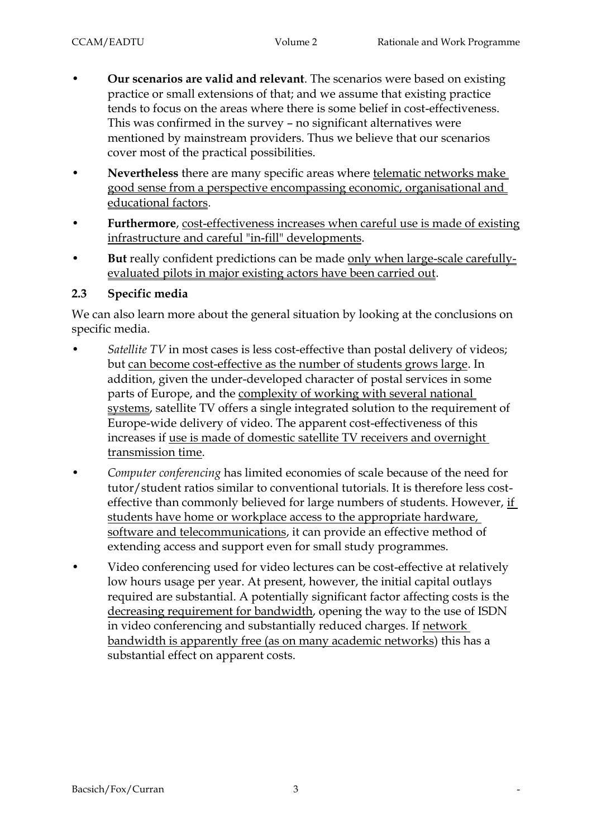- **Our scenarios are valid and relevant**. The scenarios were based on existing practice or small extensions of that; and we assume that existing practice tends to focus on the areas where there is some belief in cost-effectiveness. This was confirmed in the survey – no significant alternatives were mentioned by mainstream providers. Thus we believe that our scenarios cover most of the practical possibilities.
- **Nevertheless** there are many specific areas where telematic networks make good sense from a perspective encompassing economic, organisational and educational factors.
- Furthermore, cost-effectiveness increases when careful use is made of existing infrastructure and careful "in-fill" developments.
- **But** really confident predictions can be made only when large-scale carefullyevaluated pilots in major existing actors have been carried out.

### **2.3 Specific media**

We can also learn more about the general situation by looking at the conclusions on specific media.

- *Satellite TV* in most cases is less cost-effective than postal delivery of videos; but can become cost-effective as the number of students grows large. In addition, given the under-developed character of postal services in some parts of Europe, and the complexity of working with several national systems, satellite TV offers a single integrated solution to the requirement of Europe-wide delivery of video. The apparent cost-effectiveness of this increases if use is made of domestic satellite TV receivers and overnight transmission time.
- *Computer conferencing* has limited economies of scale because of the need for tutor/student ratios similar to conventional tutorials. It is therefore less costeffective than commonly believed for large numbers of students. However, if students have home or workplace access to the appropriate hardware, software and telecommunications, it can provide an effective method of extending access and support even for small study programmes.
- Video conferencing used for video lectures can be cost-effective at relatively low hours usage per year. At present, however, the initial capital outlays required are substantial. A potentially significant factor affecting costs is the decreasing requirement for bandwidth, opening the way to the use of ISDN in video conferencing and substantially reduced charges. If network bandwidth is apparently free (as on many academic networks) this has a substantial effect on apparent costs.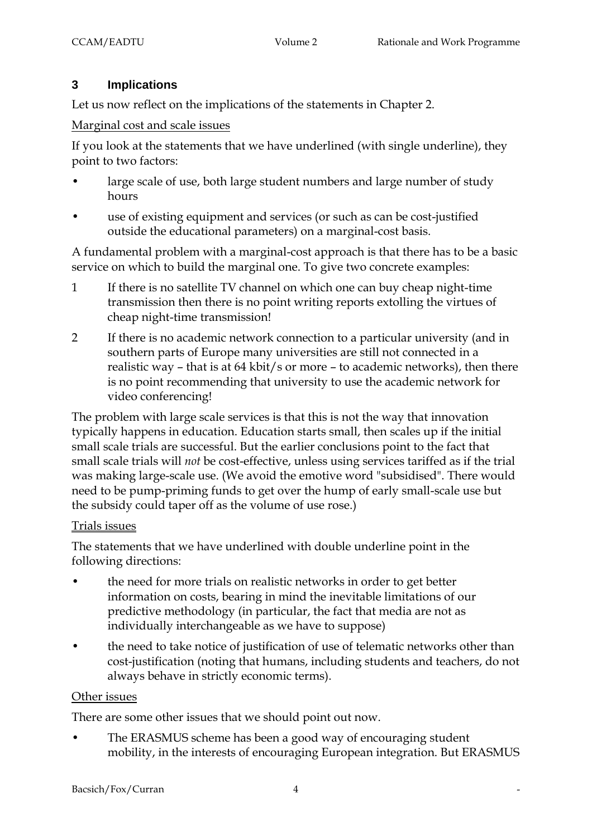# **3 Implications**

Let us now reflect on the implications of the statements in Chapter 2.

Marginal cost and scale issues

If you look at the statements that we have underlined (with single underline), they point to two factors:

- large scale of use, both large student numbers and large number of study hours
- use of existing equipment and services (or such as can be cost-justified outside the educational parameters) on a marginal-cost basis.

A fundamental problem with a marginal-cost approach is that there has to be a basic service on which to build the marginal one. To give two concrete examples:

- 1 If there is no satellite TV channel on which one can buy cheap night-time transmission then there is no point writing reports extolling the virtues of cheap night-time transmission!
- 2 If there is no academic network connection to a particular university (and in southern parts of Europe many universities are still not connected in a realistic way – that is at 64 kbit/s or more – to academic networks), then there is no point recommending that university to use the academic network for video conferencing!

The problem with large scale services is that this is not the way that innovation typically happens in education. Education starts small, then scales up if the initial small scale trials are successful. But the earlier conclusions point to the fact that small scale trials will *not* be cost-effective, unless using services tariffed as if the trial was making large-scale use. (We avoid the emotive word "subsidised". There would need to be pump-priming funds to get over the hump of early small-scale use but the subsidy could taper off as the volume of use rose.)

#### Trials issues

The statements that we have underlined with double underline point in the following directions:

- the need for more trials on realistic networks in order to get better information on costs, bearing in mind the inevitable limitations of our predictive methodology (in particular, the fact that media are not as individually interchangeable as we have to suppose)
- the need to take notice of justification of use of telematic networks other than cost-justification (noting that humans, including students and teachers, do not always behave in strictly economic terms).

### Other issues

There are some other issues that we should point out now.

• The ERASMUS scheme has been a good way of encouraging student mobility, in the interests of encouraging European integration. But ERASMUS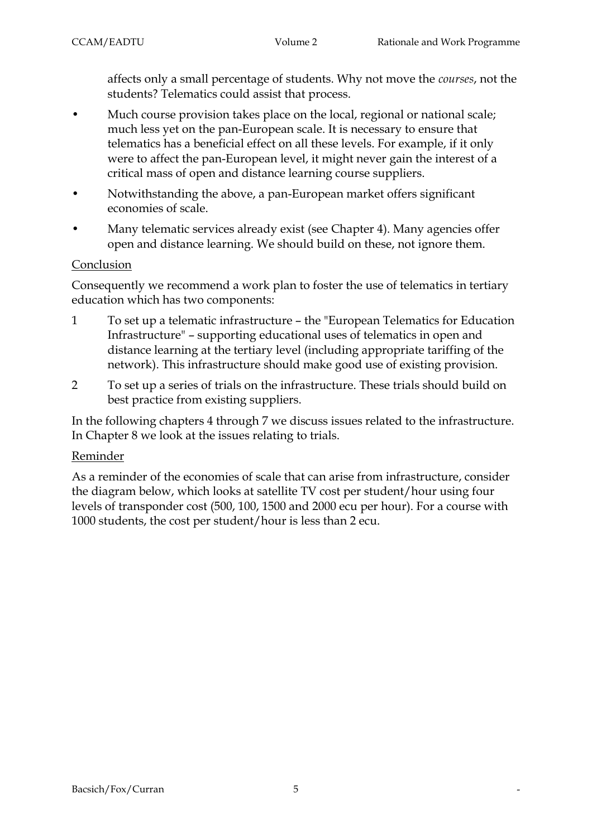affects only a small percentage of students. Why not move the *courses*, not the students? Telematics could assist that process.

- Much course provision takes place on the local, regional or national scale; much less yet on the pan-European scale. It is necessary to ensure that telematics has a beneficial effect on all these levels. For example, if it only were to affect the pan-European level, it might never gain the interest of a critical mass of open and distance learning course suppliers.
- Notwithstanding the above, a pan-European market offers significant economies of scale.
- Many telematic services already exist (see Chapter 4). Many agencies offer open and distance learning. We should build on these, not ignore them.

### Conclusion

Consequently we recommend a work plan to foster the use of telematics in tertiary education which has two components:

- 1 To set up a telematic infrastructure the "European Telematics for Education Infrastructure" – supporting educational uses of telematics in open and distance learning at the tertiary level (including appropriate tariffing of the network). This infrastructure should make good use of existing provision.
- 2 To set up a series of trials on the infrastructure. These trials should build on best practice from existing suppliers.

In the following chapters 4 through 7 we discuss issues related to the infrastructure. In Chapter 8 we look at the issues relating to trials.

#### Reminder

As a reminder of the economies of scale that can arise from infrastructure, consider the diagram below, which looks at satellite TV cost per student/hour using four levels of transponder cost (500, 100, 1500 and 2000 ecu per hour). For a course with 1000 students, the cost per student/hour is less than 2 ecu.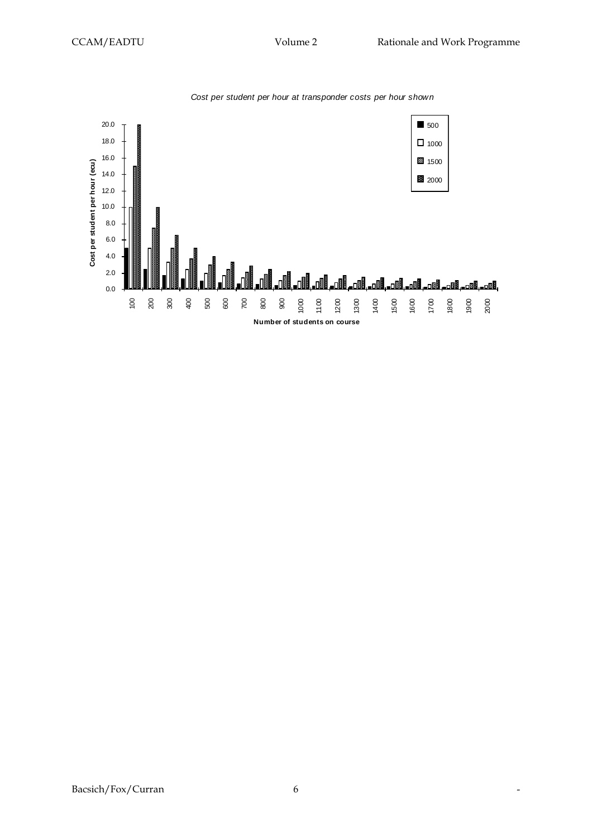

*Cost per student per hour at transponder costs per hour shown*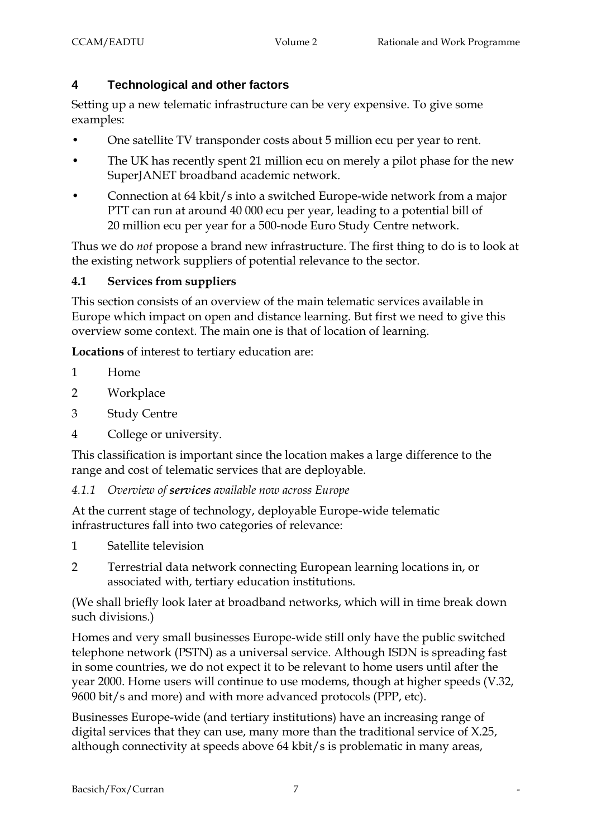# **4 Technological and other factors**

Setting up a new telematic infrastructure can be very expensive. To give some examples:

- One satellite TV transponder costs about 5 million ecu per year to rent.
- The UK has recently spent 21 million ecu on merely a pilot phase for the new SuperJANET broadband academic network.
- Connection at 64 kbit/s into a switched Europe-wide network from a major PTT can run at around 40 000 ecu per year, leading to a potential bill of 20 million ecu per year for a 500-node Euro Study Centre network.

Thus we do *not* propose a brand new infrastructure. The first thing to do is to look at the existing network suppliers of potential relevance to the sector.

### **4.1 Services from suppliers**

This section consists of an overview of the main telematic services available in Europe which impact on open and distance learning. But first we need to give this overview some context. The main one is that of location of learning.

**Locations** of interest to tertiary education are:

- 1 Home
- 2 Workplace
- 3 Study Centre
- 4 College or university.

This classification is important since the location makes a large difference to the range and cost of telematic services that are deployable.

*4.1.1 Overview of services available now across Europe*

At the current stage of technology, deployable Europe-wide telematic infrastructures fall into two categories of relevance:

- 1 Satellite television
- 2 Terrestrial data network connecting European learning locations in, or associated with, tertiary education institutions.

(We shall briefly look later at broadband networks, which will in time break down such divisions.)

Homes and very small businesses Europe-wide still only have the public switched telephone network (PSTN) as a universal service. Although ISDN is spreading fast in some countries, we do not expect it to be relevant to home users until after the year 2000. Home users will continue to use modems, though at higher speeds (V.32, 9600 bit/s and more) and with more advanced protocols (PPP, etc).

Businesses Europe-wide (and tertiary institutions) have an increasing range of digital services that they can use, many more than the traditional service of X.25, although connectivity at speeds above 64 kbit/s is problematic in many areas,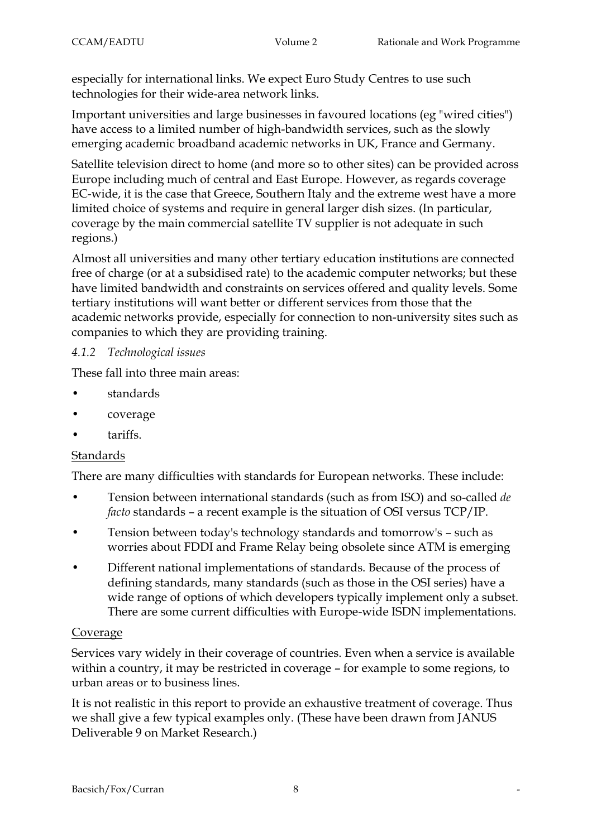especially for international links. We expect Euro Study Centres to use such technologies for their wide-area network links.

Important universities and large businesses in favoured locations (eg "wired cities") have access to a limited number of high-bandwidth services, such as the slowly emerging academic broadband academic networks in UK, France and Germany.

Satellite television direct to home (and more so to other sites) can be provided across Europe including much of central and East Europe. However, as regards coverage EC-wide, it is the case that Greece, Southern Italy and the extreme west have a more limited choice of systems and require in general larger dish sizes. (In particular, coverage by the main commercial satellite TV supplier is not adequate in such regions.)

Almost all universities and many other tertiary education institutions are connected free of charge (or at a subsidised rate) to the academic computer networks; but these have limited bandwidth and constraints on services offered and quality levels. Some tertiary institutions will want better or different services from those that the academic networks provide, especially for connection to non-university sites such as companies to which they are providing training.

#### *4.1.2 Technological issues*

These fall into three main areas:

- standards
- coverage
- tariffs.

### Standards

There are many difficulties with standards for European networks. These include:

- Tension between international standards (such as from ISO) and so-called *de facto* standards – a recent example is the situation of OSI versus TCP/IP.
- Tension between today's technology standards and tomorrow's such as worries about FDDI and Frame Relay being obsolete since ATM is emerging
- Different national implementations of standards. Because of the process of defining standards, many standards (such as those in the OSI series) have a wide range of options of which developers typically implement only a subset. There are some current difficulties with Europe-wide ISDN implementations.

### Coverage

Services vary widely in their coverage of countries. Even when a service is available within a country, it may be restricted in coverage – for example to some regions, to urban areas or to business lines.

It is not realistic in this report to provide an exhaustive treatment of coverage. Thus we shall give a few typical examples only. (These have been drawn from JANUS Deliverable 9 on Market Research.)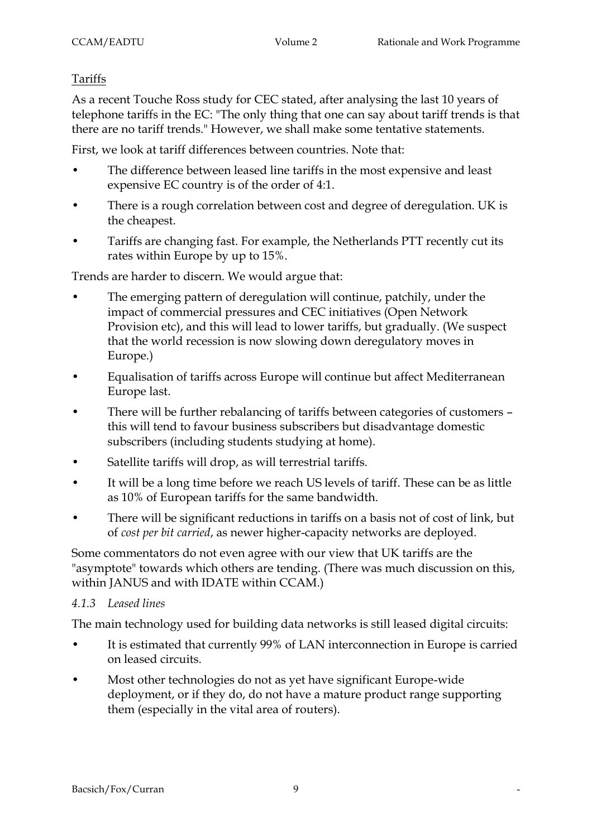### Tariffs

As a recent Touche Ross study for CEC stated, after analysing the last 10 years of telephone tariffs in the EC: "The only thing that one can say about tariff trends is that there are no tariff trends." However, we shall make some tentative statements.

First, we look at tariff differences between countries. Note that:

- The difference between leased line tariffs in the most expensive and least expensive EC country is of the order of 4:1.
- There is a rough correlation between cost and degree of deregulation. UK is the cheapest.
- Tariffs are changing fast. For example, the Netherlands PTT recently cut its rates within Europe by up to 15%.

Trends are harder to discern. We would argue that:

- The emerging pattern of deregulation will continue, patchily, under the impact of commercial pressures and CEC initiatives (Open Network Provision etc), and this will lead to lower tariffs, but gradually. (We suspect that the world recession is now slowing down deregulatory moves in Europe.)
- Equalisation of tariffs across Europe will continue but affect Mediterranean Europe last.
- There will be further rebalancing of tariffs between categories of customers this will tend to favour business subscribers but disadvantage domestic subscribers (including students studying at home).
- Satellite tariffs will drop, as will terrestrial tariffs.
- It will be a long time before we reach US levels of tariff. These can be as little as 10% of European tariffs for the same bandwidth.
- There will be significant reductions in tariffs on a basis not of cost of link, but of *cost per bit carried*, as newer higher-capacity networks are deployed.

Some commentators do not even agree with our view that UK tariffs are the "asymptote" towards which others are tending. (There was much discussion on this, within JANUS and with IDATE within CCAM.)

### *4.1.3 Leased lines*

The main technology used for building data networks is still leased digital circuits:

- It is estimated that currently 99% of LAN interconnection in Europe is carried on leased circuits.
- Most other technologies do not as yet have significant Europe-wide deployment, or if they do, do not have a mature product range supporting them (especially in the vital area of routers).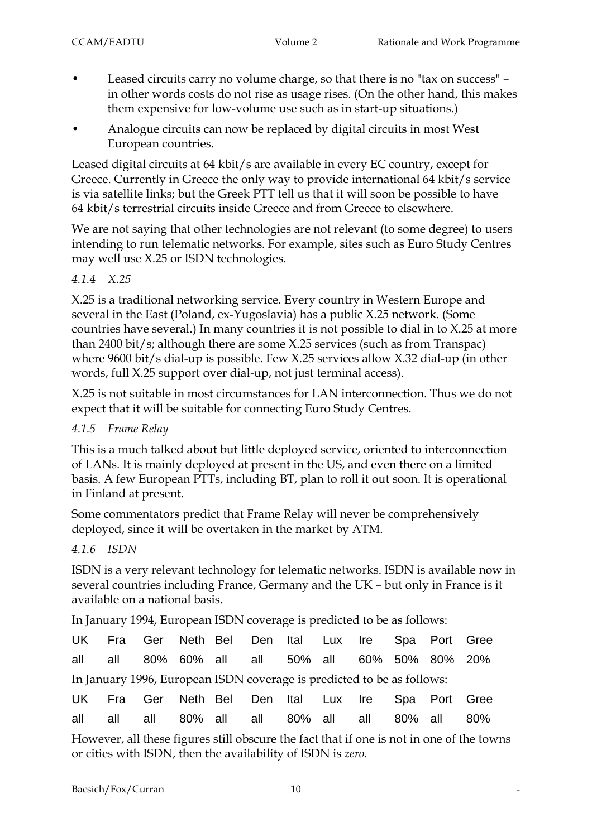- Leased circuits carry no volume charge, so that there is no "tax on success" in other words costs do not rise as usage rises. (On the other hand, this makes them expensive for low-volume use such as in start-up situations.)
- Analogue circuits can now be replaced by digital circuits in most West European countries.

Leased digital circuits at 64 kbit/s are available in every EC country, except for Greece. Currently in Greece the only way to provide international 64 kbit/s service is via satellite links; but the Greek PTT tell us that it will soon be possible to have 64 kbit/s terrestrial circuits inside Greece and from Greece to elsewhere.

We are not saying that other technologies are not relevant (to some degree) to users intending to run telematic networks. For example, sites such as Euro Study Centres may well use X.25 or ISDN technologies.

# *4.1.4 X.25*

X.25 is a traditional networking service. Every country in Western Europe and several in the East (Poland, ex-Yugoslavia) has a public X.25 network. (Some countries have several.) In many countries it is not possible to dial in to X.25 at more than 2400 bit/s; although there are some X.25 services (such as from Transpac) where 9600 bit/s dial-up is possible. Few X.25 services allow X.32 dial-up (in other words, full X.25 support over dial-up, not just terminal access).

X.25 is not suitable in most circumstances for LAN interconnection. Thus we do not expect that it will be suitable for connecting Euro Study Centres.

### *4.1.5 Frame Relay*

This is a much talked about but little deployed service, oriented to interconnection of LANs. It is mainly deployed at present in the US, and even there on a limited basis. A few European PTTs, including BT, plan to roll it out soon. It is operational in Finland at present.

Some commentators predict that Frame Relay will never be comprehensively deployed, since it will be overtaken in the market by ATM.

### *4.1.6 ISDN*

ISDN is a very relevant technology for telematic networks. ISDN is available now in several countries including France, Germany and the UK – but only in France is it available on a national basis.

In January 1994, European ISDN coverage is predicted to be as follows:

|  | UK Fra Ger Neth Bel Den Ital Lux Ire Spa Port Gree                     |  |  |  |  |
|--|------------------------------------------------------------------------|--|--|--|--|
|  | all all 80% 60% all all 50% all 60% 50% 80% 20%                        |  |  |  |  |
|  | In January 1996, European ISDN coverage is predicted to be as follows: |  |  |  |  |

|  |  | UK Fra Ger Neth Bel Den Ital Lux Ire Spa Port Gree |  |  |  |  |
|--|--|----------------------------------------------------|--|--|--|--|
|  |  | all all all 80% all all 80% all all 80% all 80%    |  |  |  |  |

However, all these figures still obscure the fact that if one is not in one of the towns or cities with ISDN, then the availability of ISDN is *zero*.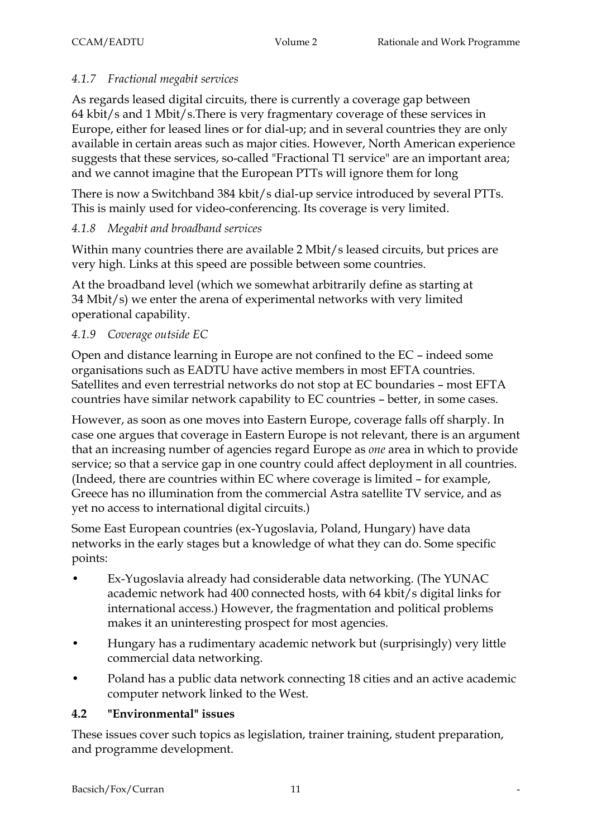# *4.1.7 Fractional megabit services*

As regards leased digital circuits, there is currently a coverage gap between 64 kbit/s and 1 Mbit/s.There is very fragmentary coverage of these services in Europe, either for leased lines or for dial-up; and in several countries they are only available in certain areas such as major cities. However, North American experience suggests that these services, so-called "Fractional T1 service" are an important area; and we cannot imagine that the European PTTs will ignore them for long

There is now a Switchband 384 kbit/s dial-up service introduced by several PTTs. This is mainly used for video-conferencing. Its coverage is very limited.

### *4.1.8 Megabit and broadband services*

Within many countries there are available 2 Mbit/s leased circuits, but prices are very high. Links at this speed are possible between some countries.

At the broadband level (which we somewhat arbitrarily define as starting at 34 Mbit/s) we enter the arena of experimental networks with very limited operational capability.

### *4.1.9 Coverage outside EC*

Open and distance learning in Europe are not confined to the EC – indeed some organisations such as EADTU have active members in most EFTA countries. Satellites and even terrestrial networks do not stop at EC boundaries – most EFTA countries have similar network capability to EC countries – better, in some cases.

However, as soon as one moves into Eastern Europe, coverage falls off sharply. In case one argues that coverage in Eastern Europe is not relevant, there is an argument that an increasing number of agencies regard Europe as *one* area in which to provide service; so that a service gap in one country could affect deployment in all countries. (Indeed, there are countries within EC where coverage is limited – for example, Greece has no illumination from the commercial Astra satellite TV service, and as yet no access to international digital circuits.)

Some East European countries (ex-Yugoslavia, Poland, Hungary) have data networks in the early stages but a knowledge of what they can do. Some specific points:

- Ex-Yugoslavia already had considerable data networking. (The YUNAC academic network had 400 connected hosts, with 64 kbit/s digital links for international access.) However, the fragmentation and political problems makes it an uninteresting prospect for most agencies.
- Hungary has a rudimentary academic network but (surprisingly) very little commercial data networking.
- Poland has a public data network connecting 18 cities and an active academic computer network linked to the West.

### **4.2 "Environmental" issues**

These issues cover such topics as legislation, trainer training, student preparation, and programme development.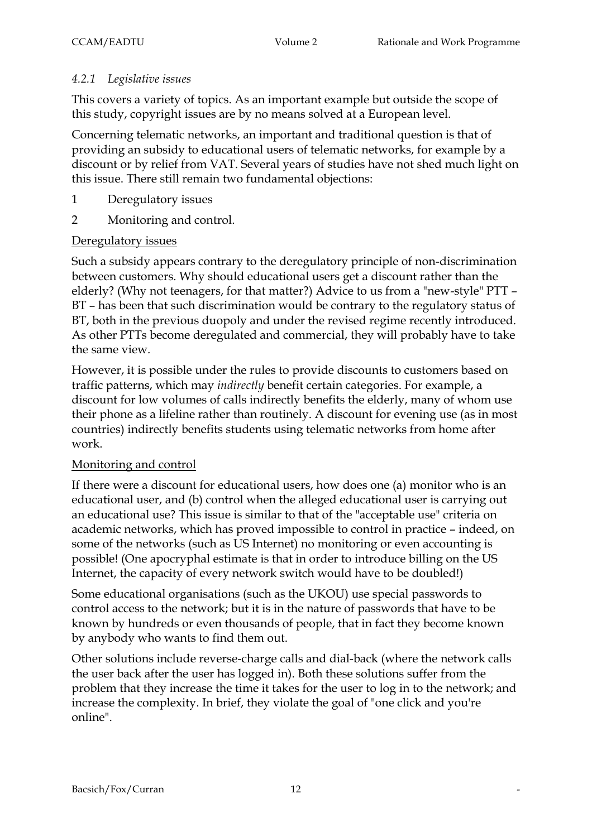#### *4.2.1 Legislative issues*

This covers a variety of topics. As an important example but outside the scope of this study, copyright issues are by no means solved at a European level.

Concerning telematic networks, an important and traditional question is that of providing an subsidy to educational users of telematic networks, for example by a discount or by relief from VAT. Several years of studies have not shed much light on this issue. There still remain two fundamental objections:

- 1 Deregulatory issues
- 2 Monitoring and control.

#### Deregulatory issues

Such a subsidy appears contrary to the deregulatory principle of non-discrimination between customers. Why should educational users get a discount rather than the elderly? (Why not teenagers, for that matter?) Advice to us from a "new-style" PTT – BT – has been that such discrimination would be contrary to the regulatory status of BT, both in the previous duopoly and under the revised regime recently introduced. As other PTTs become deregulated and commercial, they will probably have to take the same view.

However, it is possible under the rules to provide discounts to customers based on traffic patterns, which may *indirectly* benefit certain categories. For example, a discount for low volumes of calls indirectly benefits the elderly, many of whom use their phone as a lifeline rather than routinely. A discount for evening use (as in most countries) indirectly benefits students using telematic networks from home after work.

#### Monitoring and control

If there were a discount for educational users, how does one (a) monitor who is an educational user, and (b) control when the alleged educational user is carrying out an educational use? This issue is similar to that of the "acceptable use" criteria on academic networks, which has proved impossible to control in practice – indeed, on some of the networks (such as US Internet) no monitoring or even accounting is possible! (One apocryphal estimate is that in order to introduce billing on the US Internet, the capacity of every network switch would have to be doubled!)

Some educational organisations (such as the UKOU) use special passwords to control access to the network; but it is in the nature of passwords that have to be known by hundreds or even thousands of people, that in fact they become known by anybody who wants to find them out.

Other solutions include reverse-charge calls and dial-back (where the network calls the user back after the user has logged in). Both these solutions suffer from the problem that they increase the time it takes for the user to log in to the network; and increase the complexity. In brief, they violate the goal of "one click and you're online".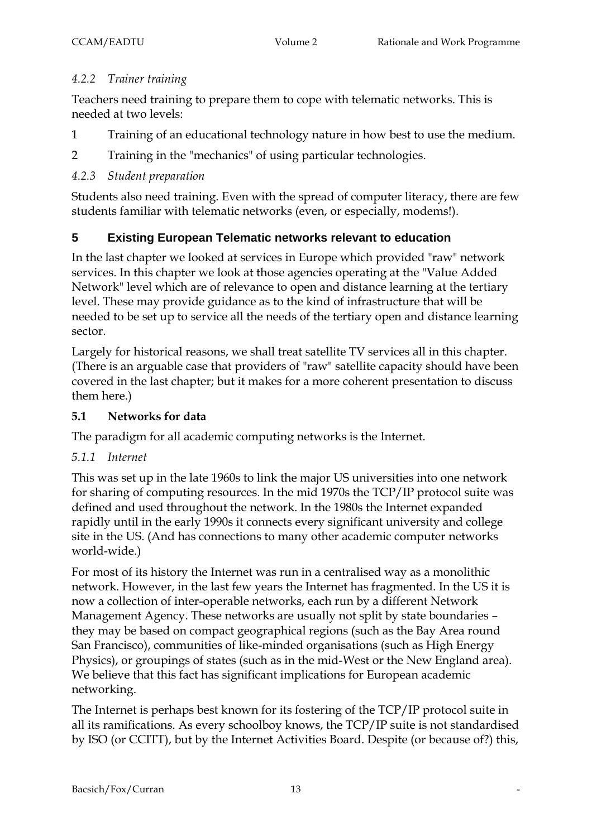### *4.2.2 Trainer training*

Teachers need training to prepare them to cope with telematic networks. This is needed at two levels:

- 1 Training of an educational technology nature in how best to use the medium.
- 2 Training in the "mechanics" of using particular technologies.

### *4.2.3 Student preparation*

Students also need training. Even with the spread of computer literacy, there are few students familiar with telematic networks (even, or especially, modems!).

# **5 Existing European Telematic networks relevant to education**

In the last chapter we looked at services in Europe which provided "raw" network services. In this chapter we look at those agencies operating at the "Value Added Network" level which are of relevance to open and distance learning at the tertiary level. These may provide guidance as to the kind of infrastructure that will be needed to be set up to service all the needs of the tertiary open and distance learning sector.

Largely for historical reasons, we shall treat satellite TV services all in this chapter. (There is an arguable case that providers of "raw" satellite capacity should have been covered in the last chapter; but it makes for a more coherent presentation to discuss them here.)

### **5.1 Networks for data**

The paradigm for all academic computing networks is the Internet.

### *5.1.1 Internet*

This was set up in the late 1960s to link the major US universities into one network for sharing of computing resources. In the mid 1970s the TCP/IP protocol suite was defined and used throughout the network. In the 1980s the Internet expanded rapidly until in the early 1990s it connects every significant university and college site in the US. (And has connections to many other academic computer networks world-wide.)

For most of its history the Internet was run in a centralised way as a monolithic network. However, in the last few years the Internet has fragmented. In the US it is now a collection of inter-operable networks, each run by a different Network Management Agency. These networks are usually not split by state boundaries – they may be based on compact geographical regions (such as the Bay Area round San Francisco), communities of like-minded organisations (such as High Energy Physics), or groupings of states (such as in the mid-West or the New England area). We believe that this fact has significant implications for European academic networking.

The Internet is perhaps best known for its fostering of the TCP/IP protocol suite in all its ramifications. As every schoolboy knows, the TCP/IP suite is not standardised by ISO (or CCITT), but by the Internet Activities Board. Despite (or because of?) this,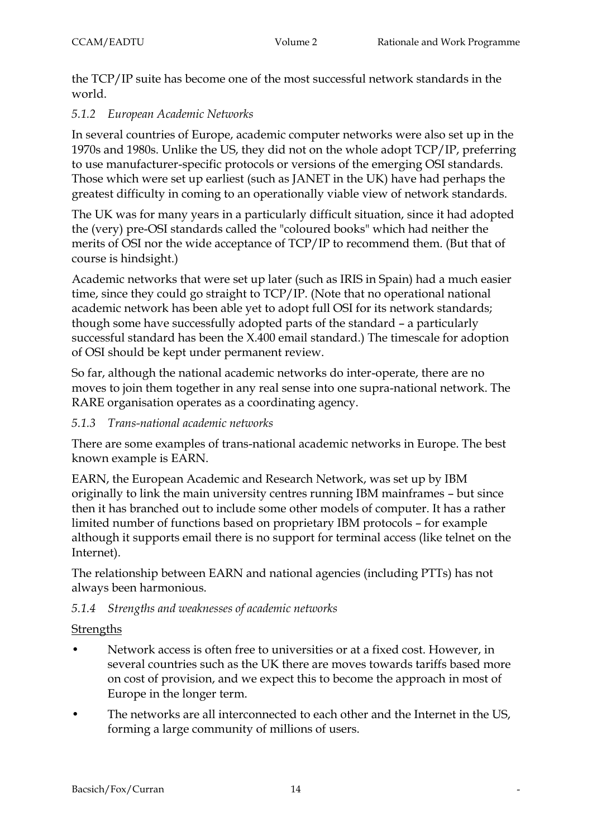the TCP/IP suite has become one of the most successful network standards in the world.

### *5.1.2 European Academic Networks*

In several countries of Europe, academic computer networks were also set up in the 1970s and 1980s. Unlike the US, they did not on the whole adopt TCP/IP, preferring to use manufacturer-specific protocols or versions of the emerging OSI standards. Those which were set up earliest (such as JANET in the UK) have had perhaps the greatest difficulty in coming to an operationally viable view of network standards.

The UK was for many years in a particularly difficult situation, since it had adopted the (very) pre-OSI standards called the "coloured books" which had neither the merits of OSI nor the wide acceptance of TCP/IP to recommend them. (But that of course is hindsight.)

Academic networks that were set up later (such as IRIS in Spain) had a much easier time, since they could go straight to TCP/IP. (Note that no operational national academic network has been able yet to adopt full OSI for its network standards; though some have successfully adopted parts of the standard – a particularly successful standard has been the X.400 email standard.) The timescale for adoption of OSI should be kept under permanent review.

So far, although the national academic networks do inter-operate, there are no moves to join them together in any real sense into one supra-national network. The RARE organisation operates as a coordinating agency.

### *5.1.3 Trans-national academic networks*

There are some examples of trans-national academic networks in Europe. The best known example is EARN.

EARN, the European Academic and Research Network, was set up by IBM originally to link the main university centres running IBM mainframes – but since then it has branched out to include some other models of computer. It has a rather limited number of functions based on proprietary IBM protocols – for example although it supports email there is no support for terminal access (like telnet on the Internet).

The relationship between EARN and national agencies (including PTTs) has not always been harmonious.

### *5.1.4 Strengths and weaknesses of academic networks*

### **Strengths**

- Network access is often free to universities or at a fixed cost. However, in several countries such as the UK there are moves towards tariffs based more on cost of provision, and we expect this to become the approach in most of Europe in the longer term.
- The networks are all interconnected to each other and the Internet in the US, forming a large community of millions of users.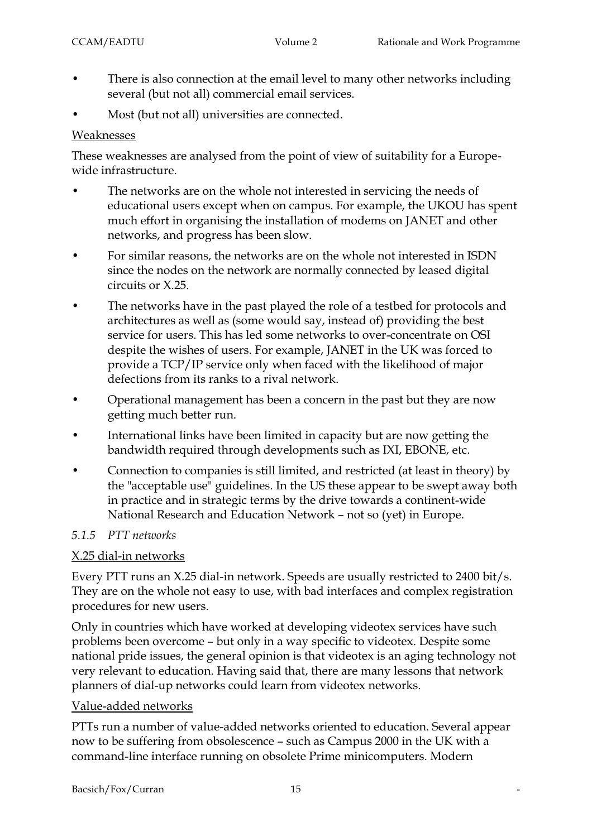- There is also connection at the email level to many other networks including several (but not all) commercial email services.
- Most (but not all) universities are connected.

#### Weaknesses

These weaknesses are analysed from the point of view of suitability for a Europewide infrastructure.

- The networks are on the whole not interested in servicing the needs of educational users except when on campus. For example, the UKOU has spent much effort in organising the installation of modems on JANET and other networks, and progress has been slow.
- For similar reasons, the networks are on the whole not interested in ISDN since the nodes on the network are normally connected by leased digital circuits or X.25.
- The networks have in the past played the role of a testbed for protocols and architectures as well as (some would say, instead of) providing the best service for users. This has led some networks to over-concentrate on OSI despite the wishes of users. For example, JANET in the UK was forced to provide a TCP/IP service only when faced with the likelihood of major defections from its ranks to a rival network.
- Operational management has been a concern in the past but they are now getting much better run.
- International links have been limited in capacity but are now getting the bandwidth required through developments such as IXI, EBONE, etc.
- Connection to companies is still limited, and restricted (at least in theory) by the "acceptable use" guidelines. In the US these appear to be swept away both in practice and in strategic terms by the drive towards a continent-wide National Research and Education Network – not so (yet) in Europe.

# *5.1.5 PTT networks*

# X.25 dial-in networks

Every PTT runs an X.25 dial-in network. Speeds are usually restricted to 2400 bit/s. They are on the whole not easy to use, with bad interfaces and complex registration procedures for new users.

Only in countries which have worked at developing videotex services have such problems been overcome – but only in a way specific to videotex. Despite some national pride issues, the general opinion is that videotex is an aging technology not very relevant to education. Having said that, there are many lessons that network planners of dial-up networks could learn from videotex networks.

# Value-added networks

PTTs run a number of value-added networks oriented to education. Several appear now to be suffering from obsolescence – such as Campus 2000 in the UK with a command-line interface running on obsolete Prime minicomputers. Modern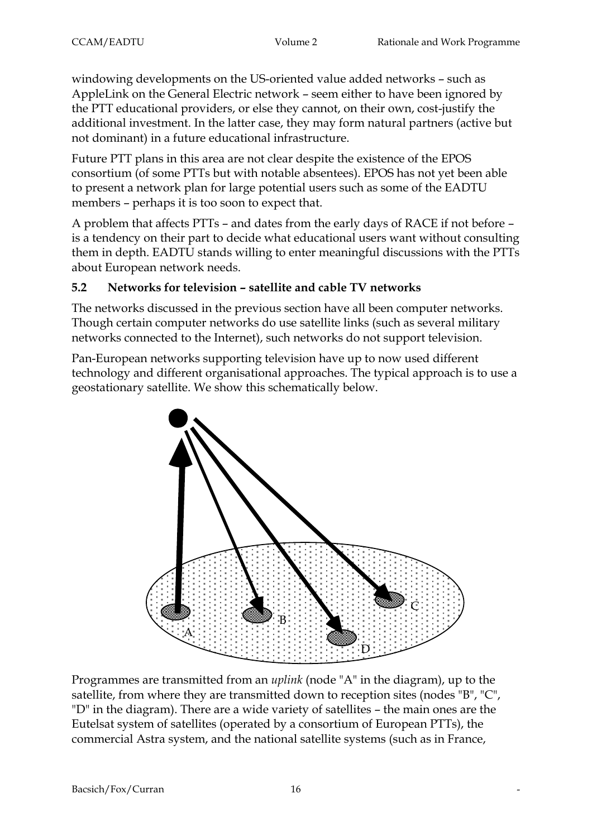windowing developments on the US-oriented value added networks – such as AppleLink on the General Electric network – seem either to have been ignored by the PTT educational providers, or else they cannot, on their own, cost-justify the additional investment. In the latter case, they may form natural partners (active but not dominant) in a future educational infrastructure.

Future PTT plans in this area are not clear despite the existence of the EPOS consortium (of some PTTs but with notable absentees). EPOS has not yet been able to present a network plan for large potential users such as some of the EADTU members – perhaps it is too soon to expect that.

A problem that affects PTTs – and dates from the early days of RACE if not before – is a tendency on their part to decide what educational users want without consulting them in depth. EADTU stands willing to enter meaningful discussions with the PTTs about European network needs.

### **5.2 Networks for television – satellite and cable TV networks**

The networks discussed in the previous section have all been computer networks. Though certain computer networks do use satellite links (such as several military networks connected to the Internet), such networks do not support television.

Pan-European networks supporting television have up to now used different technology and different organisational approaches. The typical approach is to use a geostationary satellite. We show this schematically below.



Programmes are transmitted from an *uplink* (node "A" in the diagram), up to the satellite, from where they are transmitted down to reception sites (nodes "B", "C", "D" in the diagram). There are a wide variety of satellites – the main ones are the Eutelsat system of satellites (operated by a consortium of European PTTs), the commercial Astra system, and the national satellite systems (such as in France,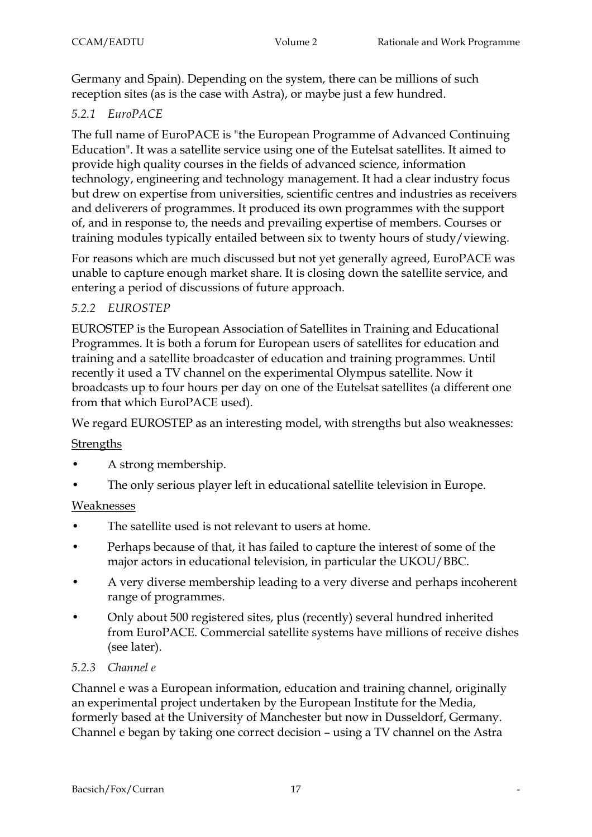Germany and Spain). Depending on the system, there can be millions of such reception sites (as is the case with Astra), or maybe just a few hundred.

# *5.2.1 EuroPACE*

The full name of EuroPACE is "the European Programme of Advanced Continuing Education". It was a satellite service using one of the Eutelsat satellites. It aimed to provide high quality courses in the fields of advanced science, information technology, engineering and technology management. It had a clear industry focus but drew on expertise from universities, scientific centres and industries as receivers and deliverers of programmes. It produced its own programmes with the support of, and in response to, the needs and prevailing expertise of members. Courses or training modules typically entailed between six to twenty hours of study/viewing.

For reasons which are much discussed but not yet generally agreed, EuroPACE was unable to capture enough market share. It is closing down the satellite service, and entering a period of discussions of future approach.

### *5.2.2 EUROSTEP*

EUROSTEP is the European Association of Satellites in Training and Educational Programmes. It is both a forum for European users of satellites for education and training and a satellite broadcaster of education and training programmes. Until recently it used a TV channel on the experimental Olympus satellite. Now it broadcasts up to four hours per day on one of the Eutelsat satellites (a different one from that which EuroPACE used).

We regard EUROSTEP as an interesting model, with strengths but also weaknesses:

### **Strengths**

- A strong membership.
- The only serious player left in educational satellite television in Europe.

### Weaknesses

- The satellite used is not relevant to users at home.
- Perhaps because of that, it has failed to capture the interest of some of the major actors in educational television, in particular the UKOU/BBC.
- A very diverse membership leading to a very diverse and perhaps incoherent range of programmes.
- Only about 500 registered sites, plus (recently) several hundred inherited from EuroPACE. Commercial satellite systems have millions of receive dishes (see later).

### *5.2.3 Channel e*

Channel e was a European information, education and training channel, originally an experimental project undertaken by the European Institute for the Media, formerly based at the University of Manchester but now in Dusseldorf, Germany. Channel e began by taking one correct decision – using a TV channel on the Astra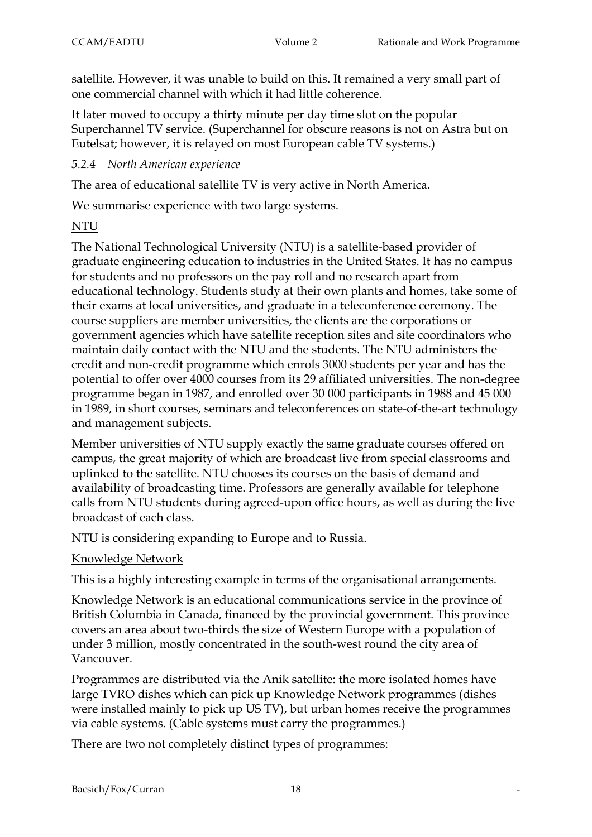satellite. However, it was unable to build on this. It remained a very small part of one commercial channel with which it had little coherence.

It later moved to occupy a thirty minute per day time slot on the popular Superchannel TV service. (Superchannel for obscure reasons is not on Astra but on Eutelsat; however, it is relayed on most European cable TV systems.)

### *5.2.4 North American experience*

The area of educational satellite TV is very active in North America.

We summarise experience with two large systems.

# NTU

The National Technological University (NTU) is a satellite-based provider of graduate engineering education to industries in the United States. It has no campus for students and no professors on the pay roll and no research apart from educational technology. Students study at their own plants and homes, take some of their exams at local universities, and graduate in a teleconference ceremony. The course suppliers are member universities, the clients are the corporations or government agencies which have satellite reception sites and site coordinators who maintain daily contact with the NTU and the students. The NTU administers the credit and non-credit programme which enrols 3000 students per year and has the potential to offer over 4000 courses from its 29 affiliated universities. The non-degree programme began in 1987, and enrolled over 30 000 participants in 1988 and 45 000 in 1989, in short courses, seminars and teleconferences on state-of-the-art technology and management subjects.

Member universities of NTU supply exactly the same graduate courses offered on campus, the great majority of which are broadcast live from special classrooms and uplinked to the satellite. NTU chooses its courses on the basis of demand and availability of broadcasting time. Professors are generally available for telephone calls from NTU students during agreed-upon office hours, as well as during the live broadcast of each class.

NTU is considering expanding to Europe and to Russia.

### Knowledge Network

This is a highly interesting example in terms of the organisational arrangements.

Knowledge Network is an educational communications service in the province of British Columbia in Canada, financed by the provincial government. This province covers an area about two-thirds the size of Western Europe with a population of under 3 million, mostly concentrated in the south-west round the city area of Vancouver.

Programmes are distributed via the Anik satellite: the more isolated homes have large TVRO dishes which can pick up Knowledge Network programmes (dishes were installed mainly to pick up US TV), but urban homes receive the programmes via cable systems. (Cable systems must carry the programmes.)

There are two not completely distinct types of programmes: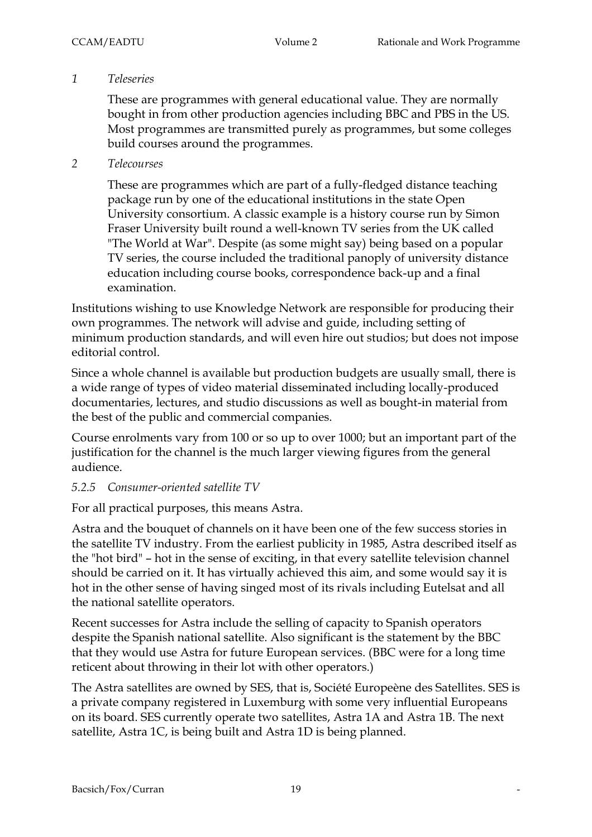#### *1 Teleseries*

These are programmes with general educational value. They are normally bought in from other production agencies including BBC and PBS in the US. Most programmes are transmitted purely as programmes, but some colleges build courses around the programmes.

#### *2 Telecourses*

These are programmes which are part of a fully-fledged distance teaching package run by one of the educational institutions in the state Open University consortium. A classic example is a history course run by Simon Fraser University built round a well-known TV series from the UK called "The World at War". Despite (as some might say) being based on a popular TV series, the course included the traditional panoply of university distance education including course books, correspondence back-up and a final examination.

Institutions wishing to use Knowledge Network are responsible for producing their own programmes. The network will advise and guide, including setting of minimum production standards, and will even hire out studios; but does not impose editorial control.

Since a whole channel is available but production budgets are usually small, there is a wide range of types of video material disseminated including locally-produced documentaries, lectures, and studio discussions as well as bought-in material from the best of the public and commercial companies.

Course enrolments vary from 100 or so up to over 1000; but an important part of the justification for the channel is the much larger viewing figures from the general audience.

#### *5.2.5 Consumer-oriented satellite TV*

For all practical purposes, this means Astra.

Astra and the bouquet of channels on it have been one of the few success stories in the satellite TV industry. From the earliest publicity in 1985, Astra described itself as the "hot bird" – hot in the sense of exciting, in that every satellite television channel should be carried on it. It has virtually achieved this aim, and some would say it is hot in the other sense of having singed most of its rivals including Eutelsat and all the national satellite operators.

Recent successes for Astra include the selling of capacity to Spanish operators despite the Spanish national satellite. Also significant is the statement by the BBC that they would use Astra for future European services. (BBC were for a long time reticent about throwing in their lot with other operators.)

The Astra satellites are owned by SES, that is, Société Europeène des Satellites. SES is a private company registered in Luxemburg with some very influential Europeans on its board. SES currently operate two satellites, Astra 1A and Astra 1B. The next satellite, Astra 1C, is being built and Astra 1D is being planned.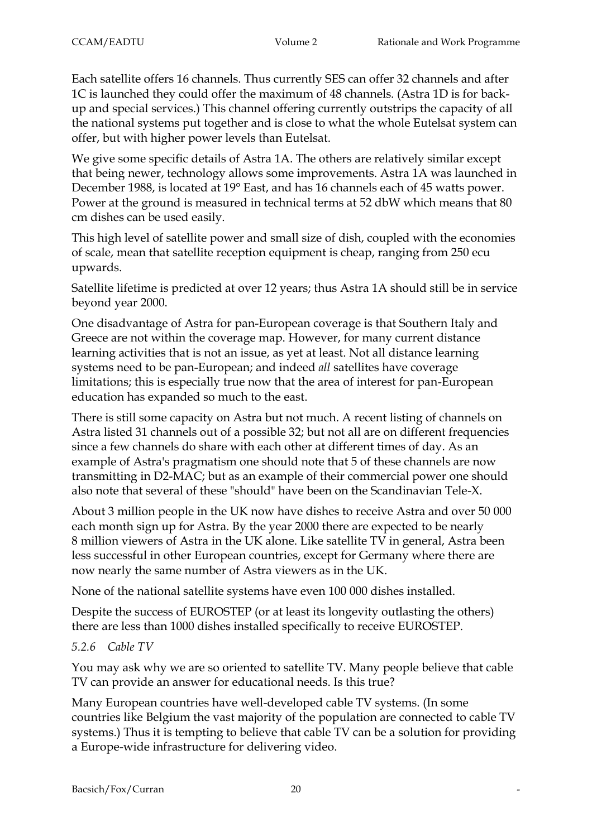Each satellite offers 16 channels. Thus currently SES can offer 32 channels and after 1C is launched they could offer the maximum of 48 channels. (Astra 1D is for backup and special services.) This channel offering currently outstrips the capacity of all the national systems put together and is close to what the whole Eutelsat system can offer, but with higher power levels than Eutelsat.

We give some specific details of Astra 1A. The others are relatively similar except that being newer, technology allows some improvements. Astra 1A was launched in December 1988, is located at 19° East, and has 16 channels each of 45 watts power. Power at the ground is measured in technical terms at 52 dbW which means that 80 cm dishes can be used easily.

This high level of satellite power and small size of dish, coupled with the economies of scale, mean that satellite reception equipment is cheap, ranging from 250 ecu upwards.

Satellite lifetime is predicted at over 12 years; thus Astra 1A should still be in service beyond year 2000.

One disadvantage of Astra for pan-European coverage is that Southern Italy and Greece are not within the coverage map. However, for many current distance learning activities that is not an issue, as yet at least. Not all distance learning systems need to be pan-European; and indeed *all* satellites have coverage limitations; this is especially true now that the area of interest for pan-European education has expanded so much to the east.

There is still some capacity on Astra but not much. A recent listing of channels on Astra listed 31 channels out of a possible 32; but not all are on different frequencies since a few channels do share with each other at different times of day. As an example of Astra's pragmatism one should note that 5 of these channels are now transmitting in D2-MAC; but as an example of their commercial power one should also note that several of these "should" have been on the Scandinavian Tele-X.

About 3 million people in the UK now have dishes to receive Astra and over 50 000 each month sign up for Astra. By the year 2000 there are expected to be nearly 8 million viewers of Astra in the UK alone. Like satellite TV in general, Astra been less successful in other European countries, except for Germany where there are now nearly the same number of Astra viewers as in the UK.

None of the national satellite systems have even 100 000 dishes installed.

Despite the success of EUROSTEP (or at least its longevity outlasting the others) there are less than 1000 dishes installed specifically to receive EUROSTEP.

### *5.2.6 Cable TV*

You may ask why we are so oriented to satellite TV. Many people believe that cable TV can provide an answer for educational needs. Is this true?

Many European countries have well-developed cable TV systems. (In some countries like Belgium the vast majority of the population are connected to cable TV systems.) Thus it is tempting to believe that cable TV can be a solution for providing a Europe-wide infrastructure for delivering video.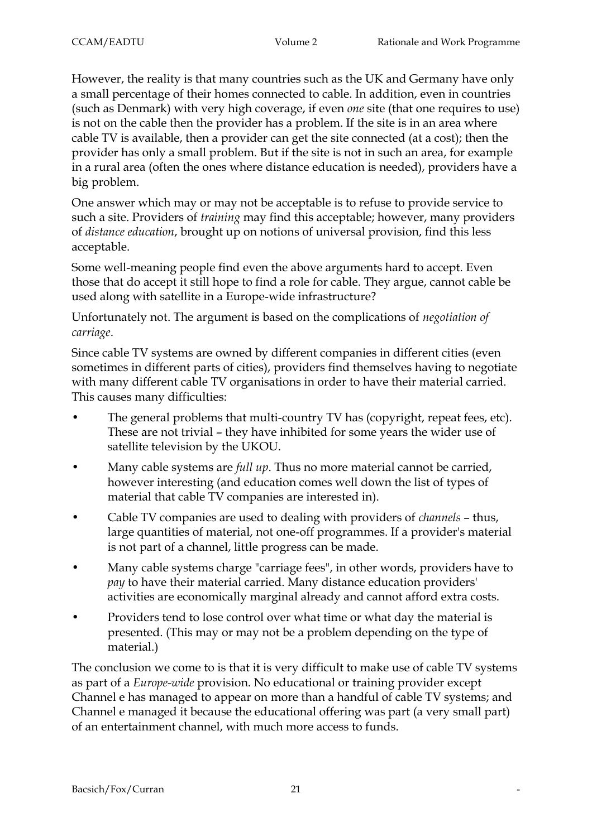However, the reality is that many countries such as the UK and Germany have only a small percentage of their homes connected to cable. In addition, even in countries (such as Denmark) with very high coverage, if even *one* site (that one requires to use) is not on the cable then the provider has a problem. If the site is in an area where cable TV is available, then a provider can get the site connected (at a cost); then the provider has only a small problem. But if the site is not in such an area, for example in a rural area (often the ones where distance education is needed), providers have a big problem.

One answer which may or may not be acceptable is to refuse to provide service to such a site. Providers of *training* may find this acceptable; however, many providers of *distance education*, brought up on notions of universal provision, find this less acceptable.

Some well-meaning people find even the above arguments hard to accept. Even those that do accept it still hope to find a role for cable. They argue, cannot cable be used along with satellite in a Europe-wide infrastructure?

Unfortunately not. The argument is based on the complications of *negotiation of carriage*.

Since cable TV systems are owned by different companies in different cities (even sometimes in different parts of cities), providers find themselves having to negotiate with many different cable TV organisations in order to have their material carried. This causes many difficulties:

- The general problems that multi-country TV has (copyright, repeat fees, etc). These are not trivial – they have inhibited for some years the wider use of satellite television by the UKOU.
- Many cable systems are *full up*. Thus no more material cannot be carried, however interesting (and education comes well down the list of types of material that cable TV companies are interested in).
- Cable TV companies are used to dealing with providers of *channels* thus, large quantities of material, not one-off programmes. If a provider's material is not part of a channel, little progress can be made.
- Many cable systems charge "carriage fees", in other words, providers have to *pay* to have their material carried. Many distance education providers' activities are economically marginal already and cannot afford extra costs.
- Providers tend to lose control over what time or what day the material is presented. (This may or may not be a problem depending on the type of material.)

The conclusion we come to is that it is very difficult to make use of cable TV systems as part of a *Europe-wide* provision. No educational or training provider except Channel e has managed to appear on more than a handful of cable TV systems; and Channel e managed it because the educational offering was part (a very small part) of an entertainment channel, with much more access to funds.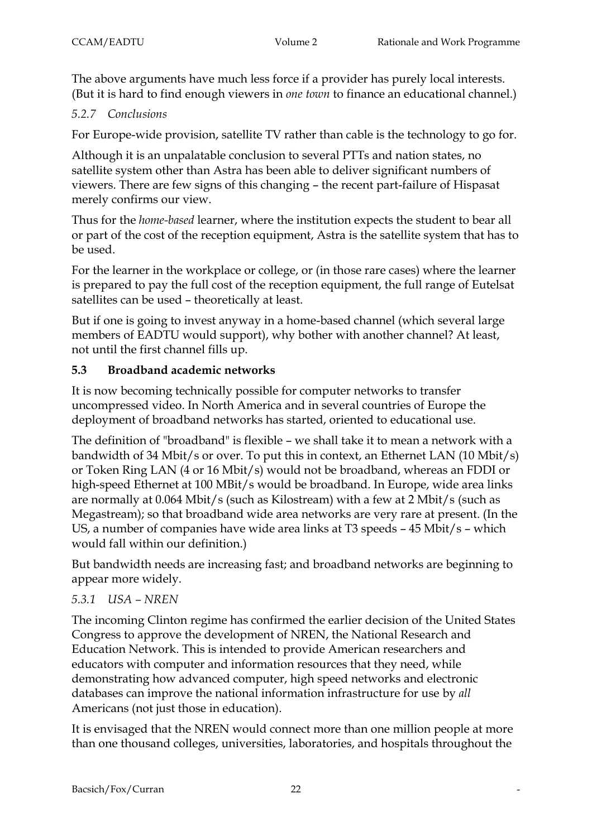The above arguments have much less force if a provider has purely local interests. (But it is hard to find enough viewers in *one town* to finance an educational channel.)

# *5.2.7 Conclusions*

For Europe-wide provision, satellite TV rather than cable is the technology to go for.

Although it is an unpalatable conclusion to several PTTs and nation states, no satellite system other than Astra has been able to deliver significant numbers of viewers. There are few signs of this changing – the recent part-failure of Hispasat merely confirms our view.

Thus for the *home-based* learner, where the institution expects the student to bear all or part of the cost of the reception equipment, Astra is the satellite system that has to be used.

For the learner in the workplace or college, or (in those rare cases) where the learner is prepared to pay the full cost of the reception equipment, the full range of Eutelsat satellites can be used – theoretically at least.

But if one is going to invest anyway in a home-based channel (which several large members of EADTU would support), why bother with another channel? At least, not until the first channel fills up.

# **5.3 Broadband academic networks**

It is now becoming technically possible for computer networks to transfer uncompressed video. In North America and in several countries of Europe the deployment of broadband networks has started, oriented to educational use.

The definition of "broadband" is flexible – we shall take it to mean a network with a bandwidth of 34 Mbit/s or over. To put this in context, an Ethernet LAN (10 Mbit/s) or Token Ring LAN (4 or 16 Mbit/s) would not be broadband, whereas an FDDI or high-speed Ethernet at 100 MBit/s would be broadband. In Europe, wide area links are normally at 0.064 Mbit/s (such as Kilostream) with a few at 2 Mbit/s (such as Megastream); so that broadband wide area networks are very rare at present. (In the US, a number of companies have wide area links at T3 speeds – 45 Mbit/s – which would fall within our definition.)

But bandwidth needs are increasing fast; and broadband networks are beginning to appear more widely.

# *5.3.1 USA – NREN*

The incoming Clinton regime has confirmed the earlier decision of the United States Congress to approve the development of NREN, the National Research and Education Network. This is intended to provide American researchers and educators with computer and information resources that they need, while demonstrating how advanced computer, high speed networks and electronic databases can improve the national information infrastructure for use by *all* Americans (not just those in education).

It is envisaged that the NREN would connect more than one million people at more than one thousand colleges, universities, laboratories, and hospitals throughout the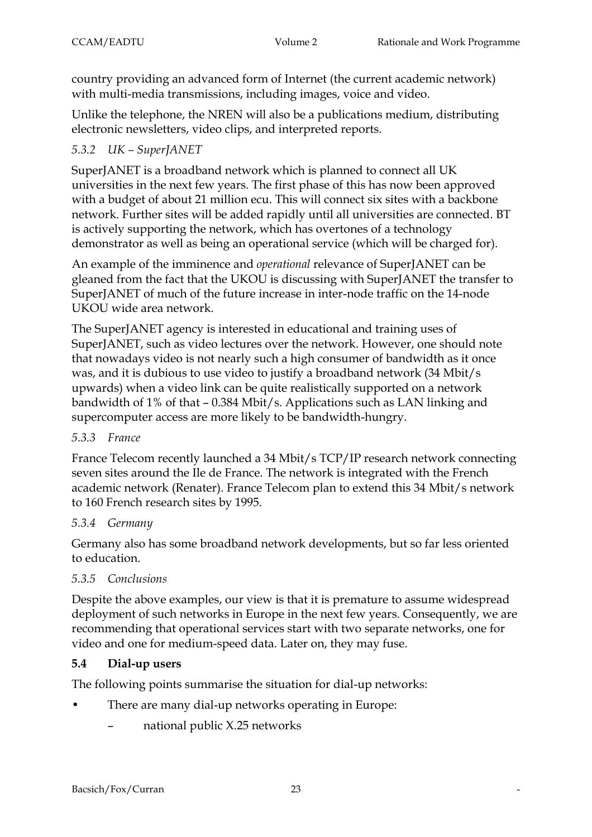country providing an advanced form of Internet (the current academic network) with multi-media transmissions, including images, voice and video.

Unlike the telephone, the NREN will also be a publications medium, distributing electronic newsletters, video clips, and interpreted reports.

# *5.3.2 UK – SuperJANET*

SuperJANET is a broadband network which is planned to connect all UK universities in the next few years. The first phase of this has now been approved with a budget of about 21 million ecu. This will connect six sites with a backbone network. Further sites will be added rapidly until all universities are connected. BT is actively supporting the network, which has overtones of a technology demonstrator as well as being an operational service (which will be charged for).

An example of the imminence and *operational* relevance of SuperJANET can be gleaned from the fact that the UKOU is discussing with SuperJANET the transfer to SuperJANET of much of the future increase in inter-node traffic on the 14-node UKOU wide area network.

The SuperJANET agency is interested in educational and training uses of SuperJANET, such as video lectures over the network. However, one should note that nowadays video is not nearly such a high consumer of bandwidth as it once was, and it is dubious to use video to justify a broadband network (34 Mbit/s upwards) when a video link can be quite realistically supported on a network bandwidth of 1% of that – 0.384 Mbit/s. Applications such as LAN linking and supercomputer access are more likely to be bandwidth-hungry.

# *5.3.3 France*

France Telecom recently launched a 34 Mbit/s TCP/IP research network connecting seven sites around the Ile de France. The network is integrated with the French academic network (Renater). France Telecom plan to extend this 34 Mbit/s network to 160 French research sites by 1995.

### *5.3.4 Germany*

Germany also has some broadband network developments, but so far less oriented to education.

# *5.3.5 Conclusions*

Despite the above examples, our view is that it is premature to assume widespread deployment of such networks in Europe in the next few years. Consequently, we are recommending that operational services start with two separate networks, one for video and one for medium-speed data. Later on, they may fuse.

# **5.4 Dial-up users**

The following points summarise the situation for dial-up networks:

- There are many dial-up networks operating in Europe:
	- national public X.25 networks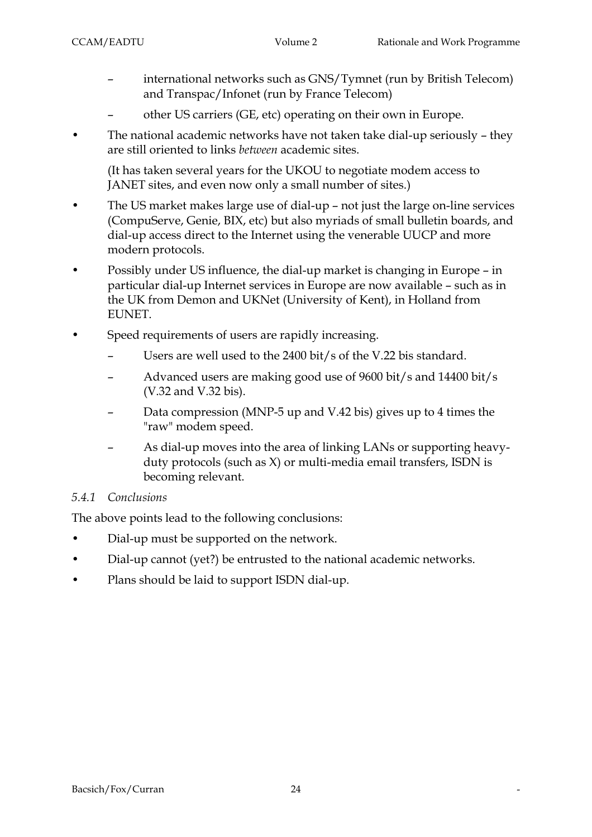- international networks such as GNS/Tymnet (run by British Telecom) and Transpac/Infonet (run by France Telecom)
- other US carriers (GE, etc) operating on their own in Europe.
- The national academic networks have not taken take dial-up seriously they are still oriented to links *between* academic sites.

(It has taken several years for the UKOU to negotiate modem access to JANET sites, and even now only a small number of sites.)

- The US market makes large use of dial-up not just the large on-line services (CompuServe, Genie, BIX, etc) but also myriads of small bulletin boards, and dial-up access direct to the Internet using the venerable UUCP and more modern protocols.
- Possibly under US influence, the dial-up market is changing in Europe in particular dial-up Internet services in Europe are now available – such as in the UK from Demon and UKNet (University of Kent), in Holland from EUNET.
- Speed requirements of users are rapidly increasing.
	- Users are well used to the 2400 bit/s of the V.22 bis standard.
	- Advanced users are making good use of 9600 bit/s and 14400 bit/s (V.32 and V.32 bis).
	- Data compression (MNP-5 up and V.42 bis) gives up to 4 times the "raw" modem speed.
	- As dial-up moves into the area of linking LANs or supporting heavyduty protocols (such as X) or multi-media email transfers, ISDN is becoming relevant.

# *5.4.1 Conclusions*

The above points lead to the following conclusions:

- Dial-up must be supported on the network.
- Dial-up cannot (yet?) be entrusted to the national academic networks.
- Plans should be laid to support ISDN dial-up.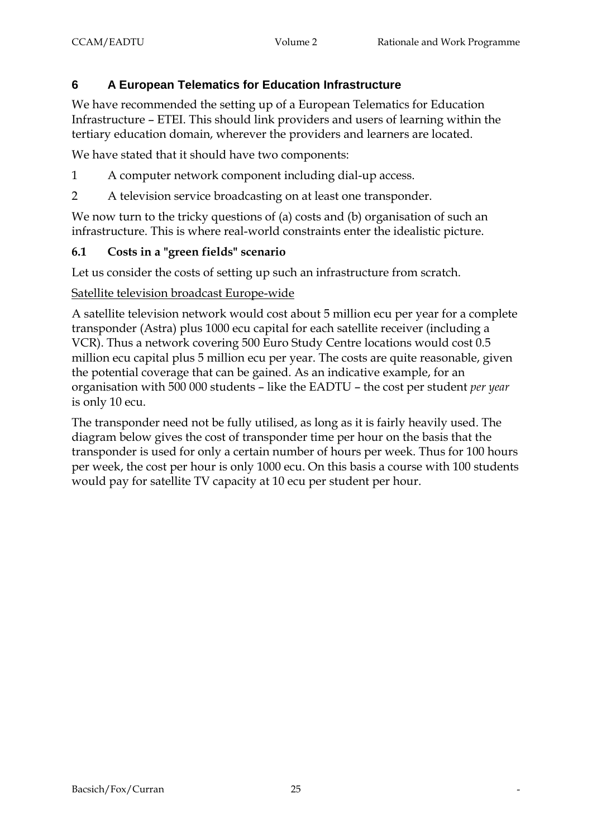# **6 A European Telematics for Education Infrastructure**

We have recommended the setting up of a European Telematics for Education Infrastructure – ETEI. This should link providers and users of learning within the tertiary education domain, wherever the providers and learners are located.

We have stated that it should have two components:

- 1 A computer network component including dial-up access.
- 2 A television service broadcasting on at least one transponder.

We now turn to the tricky questions of (a) costs and (b) organisation of such an infrastructure. This is where real-world constraints enter the idealistic picture.

# **6.1 Costs in a "green fields" scenario**

Let us consider the costs of setting up such an infrastructure from scratch.

### Satellite television broadcast Europe-wide

A satellite television network would cost about 5 million ecu per year for a complete transponder (Astra) plus 1000 ecu capital for each satellite receiver (including a VCR). Thus a network covering 500 Euro Study Centre locations would cost 0.5 million ecu capital plus 5 million ecu per year. The costs are quite reasonable, given the potential coverage that can be gained. As an indicative example, for an organisation with 500 000 students – like the EADTU – the cost per student *per year* is only 10 ecu.

The transponder need not be fully utilised, as long as it is fairly heavily used. The diagram below gives the cost of transponder time per hour on the basis that the transponder is used for only a certain number of hours per week. Thus for 100 hours per week, the cost per hour is only 1000 ecu. On this basis a course with 100 students would pay for satellite TV capacity at 10 ecu per student per hour.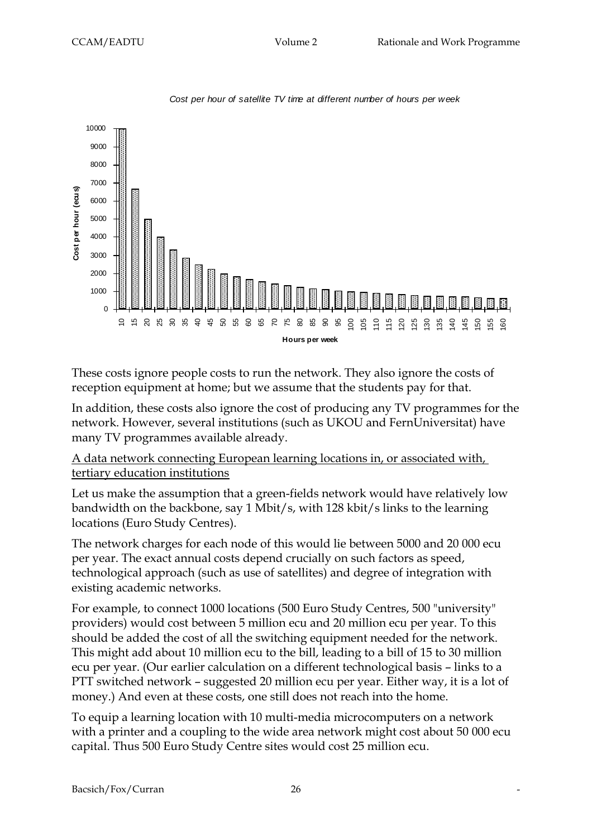

*Cost per hour of satellite TV time at different number of hours per week*

These costs ignore people costs to run the network. They also ignore the costs of reception equipment at home; but we assume that the students pay for that.

In addition, these costs also ignore the cost of producing any TV programmes for the network. However, several institutions (such as UKOU and FernUniversitat) have many TV programmes available already.

### A data network connecting European learning locations in, or associated with, tertiary education institutions

Let us make the assumption that a green-fields network would have relatively low bandwidth on the backbone, say 1 Mbit/s, with 128 kbit/s links to the learning locations (Euro Study Centres).

The network charges for each node of this would lie between 5000 and 20 000 ecu per year. The exact annual costs depend crucially on such factors as speed, technological approach (such as use of satellites) and degree of integration with existing academic networks.

For example, to connect 1000 locations (500 Euro Study Centres, 500 "university" providers) would cost between 5 million ecu and 20 million ecu per year. To this should be added the cost of all the switching equipment needed for the network. This might add about 10 million ecu to the bill, leading to a bill of 15 to 30 million ecu per year. (Our earlier calculation on a different technological basis – links to a PTT switched network – suggested 20 million ecu per year. Either way, it is a lot of money.) And even at these costs, one still does not reach into the home.

To equip a learning location with 10 multi-media microcomputers on a network with a printer and a coupling to the wide area network might cost about 50 000 ecu capital. Thus 500 Euro Study Centre sites would cost 25 million ecu.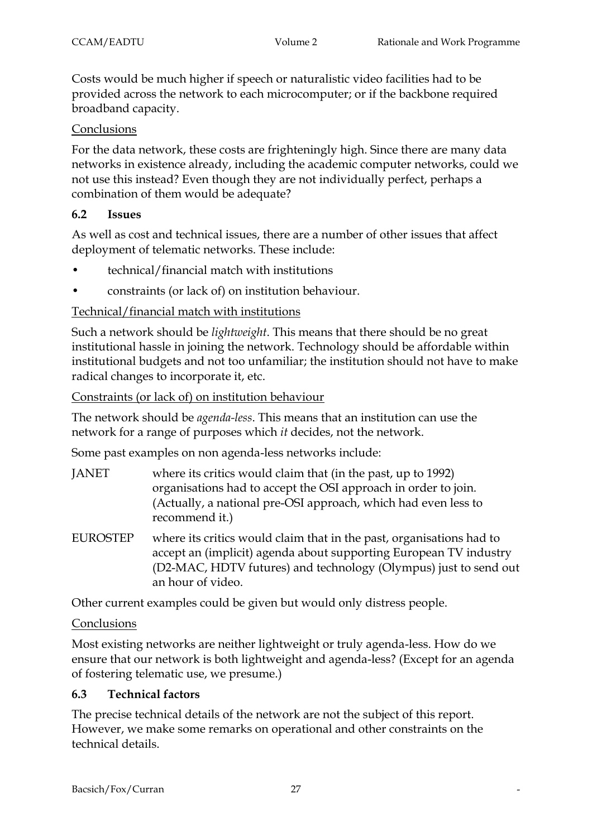Costs would be much higher if speech or naturalistic video facilities had to be provided across the network to each microcomputer; or if the backbone required broadband capacity.

# Conclusions

For the data network, these costs are frighteningly high. Since there are many data networks in existence already, including the academic computer networks, could we not use this instead? Even though they are not individually perfect, perhaps a combination of them would be adequate?

### **6.2 Issues**

As well as cost and technical issues, there are a number of other issues that affect deployment of telematic networks. These include:

- technical/financial match with institutions
- constraints (or lack of) on institution behaviour.

### Technical/financial match with institutions

Such a network should be *lightweight*. This means that there should be no great institutional hassle in joining the network. Technology should be affordable within institutional budgets and not too unfamiliar; the institution should not have to make radical changes to incorporate it, etc.

### Constraints (or lack of) on institution behaviour

The network should be *agenda-less*. This means that an institution can use the network for a range of purposes which *it* decides, not the network.

Some past examples on non agenda-less networks include:

- JANET where its critics would claim that (in the past, up to 1992) organisations had to accept the OSI approach in order to join. (Actually, a national pre-OSI approach, which had even less to recommend it.)
- EUROSTEP where its critics would claim that in the past, organisations had to accept an (implicit) agenda about supporting European TV industry (D2-MAC, HDTV futures) and technology (Olympus) just to send out an hour of video.

Other current examples could be given but would only distress people.

### Conclusions

Most existing networks are neither lightweight or truly agenda-less. How do we ensure that our network is both lightweight and agenda-less? (Except for an agenda of fostering telematic use, we presume.)

# **6.3 Technical factors**

The precise technical details of the network are not the subject of this report. However, we make some remarks on operational and other constraints on the technical details.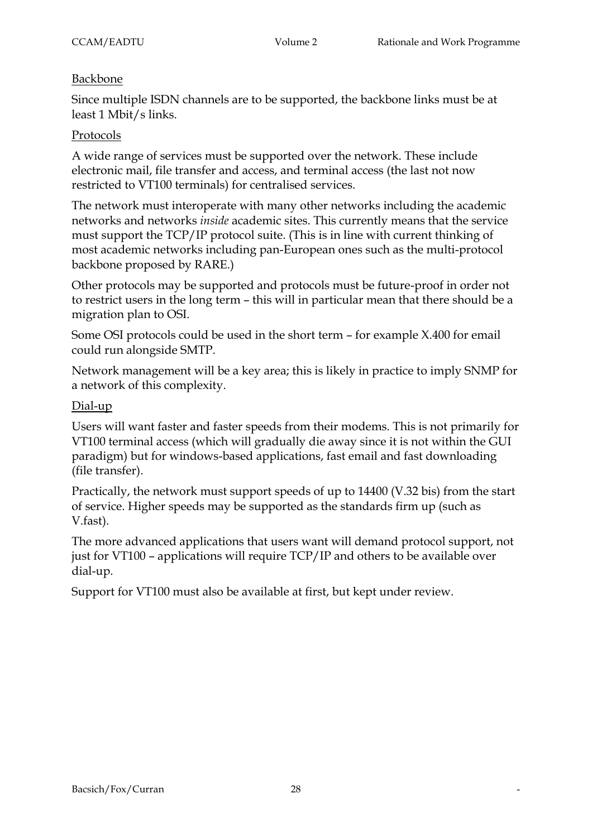#### Backbone

Since multiple ISDN channels are to be supported, the backbone links must be at least 1 Mbit/s links.

#### Protocols

A wide range of services must be supported over the network. These include electronic mail, file transfer and access, and terminal access (the last not now restricted to VT100 terminals) for centralised services.

The network must interoperate with many other networks including the academic networks and networks *inside* academic sites. This currently means that the service must support the TCP/IP protocol suite. (This is in line with current thinking of most academic networks including pan-European ones such as the multi-protocol backbone proposed by RARE.)

Other protocols may be supported and protocols must be future-proof in order not to restrict users in the long term – this will in particular mean that there should be a migration plan to OSI.

Some OSI protocols could be used in the short term – for example X.400 for email could run alongside SMTP.

Network management will be a key area; this is likely in practice to imply SNMP for a network of this complexity.

#### Dial-up

Users will want faster and faster speeds from their modems. This is not primarily for VT100 terminal access (which will gradually die away since it is not within the GUI paradigm) but for windows-based applications, fast email and fast downloading (file transfer).

Practically, the network must support speeds of up to 14400 (V.32 bis) from the start of service. Higher speeds may be supported as the standards firm up (such as V.fast).

The more advanced applications that users want will demand protocol support, not just for VT100 – applications will require TCP/IP and others to be available over dial-up.

Support for VT100 must also be available at first, but kept under review.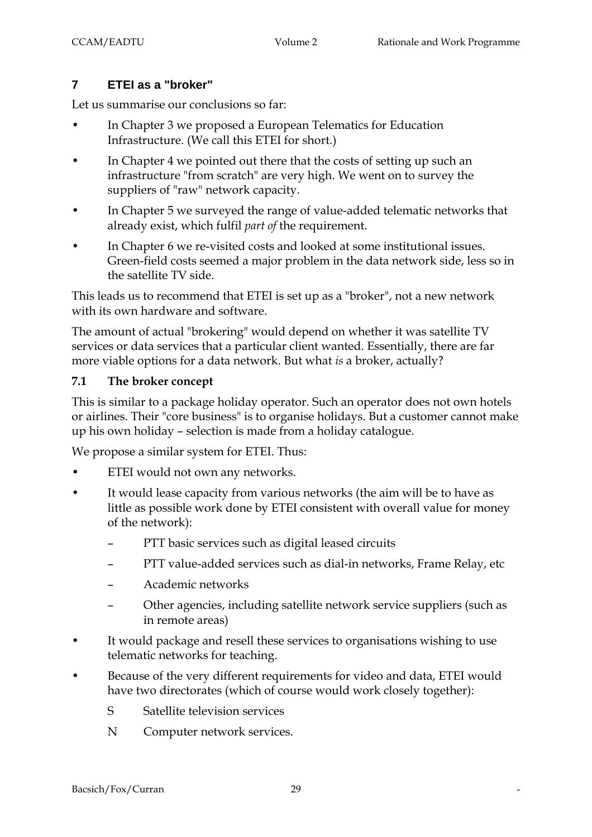# **7 ETEI as a "broker"**

Let us summarise our conclusions so far:

- In Chapter 3 we proposed a European Telematics for Education Infrastructure. (We call this ETEI for short.)
- In Chapter 4 we pointed out there that the costs of setting up such an infrastructure "from scratch" are very high. We went on to survey the suppliers of "raw" network capacity.
- In Chapter 5 we surveyed the range of value-added telematic networks that already exist, which fulfil *part of* the requirement.
- In Chapter 6 we re-visited costs and looked at some institutional issues. Green-field costs seemed a major problem in the data network side, less so in the satellite TV side.

This leads us to recommend that ETEI is set up as a "broker", not a new network with its own hardware and software.

The amount of actual "brokering" would depend on whether it was satellite TV services or data services that a particular client wanted. Essentially, there are far more viable options for a data network. But what *is* a broker, actually?

### **7.1 The broker concept**

This is similar to a package holiday operator. Such an operator does not own hotels or airlines. Their "core business" is to organise holidays. But a customer cannot make up his own holiday – selection is made from a holiday catalogue.

We propose a similar system for ETEI. Thus:

- ETEI would not own any networks.
- It would lease capacity from various networks (the aim will be to have as little as possible work done by ETEI consistent with overall value for money of the network):
	- PTT basic services such as digital leased circuits
	- PTT value-added services such as dial-in networks, Frame Relay, etc
	- Academic networks
	- Other agencies, including satellite network service suppliers (such as in remote areas)
- It would package and resell these services to organisations wishing to use telematic networks for teaching.
- Because of the very different requirements for video and data, ETEI would have two directorates (which of course would work closely together):
	- S Satellite television services
	- N Computer network services.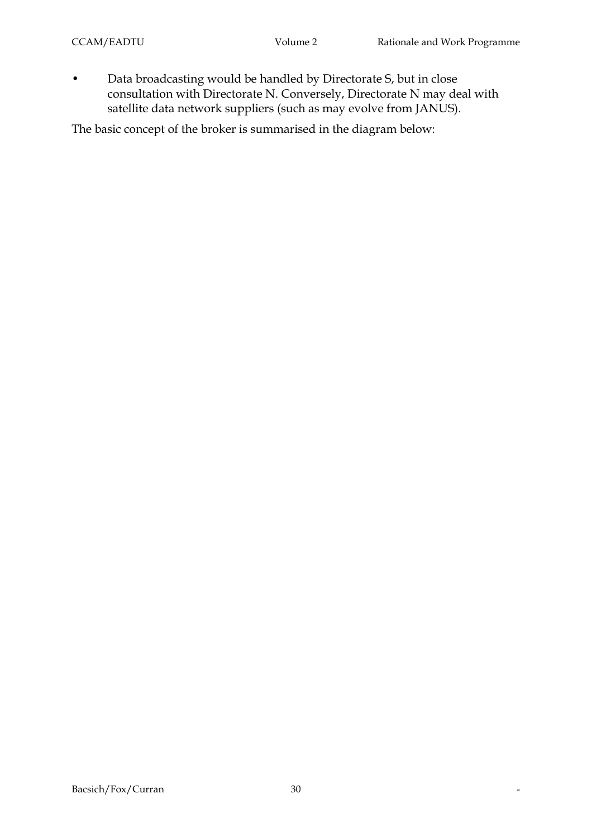• Data broadcasting would be handled by Directorate S, but in close consultation with Directorate N. Conversely, Directorate N may deal with satellite data network suppliers (such as may evolve from JANUS).

The basic concept of the broker is summarised in the diagram below: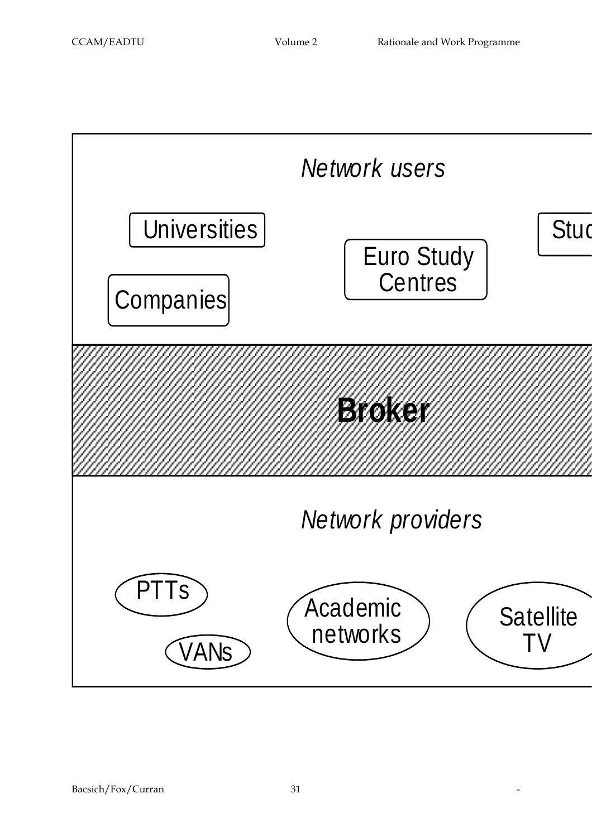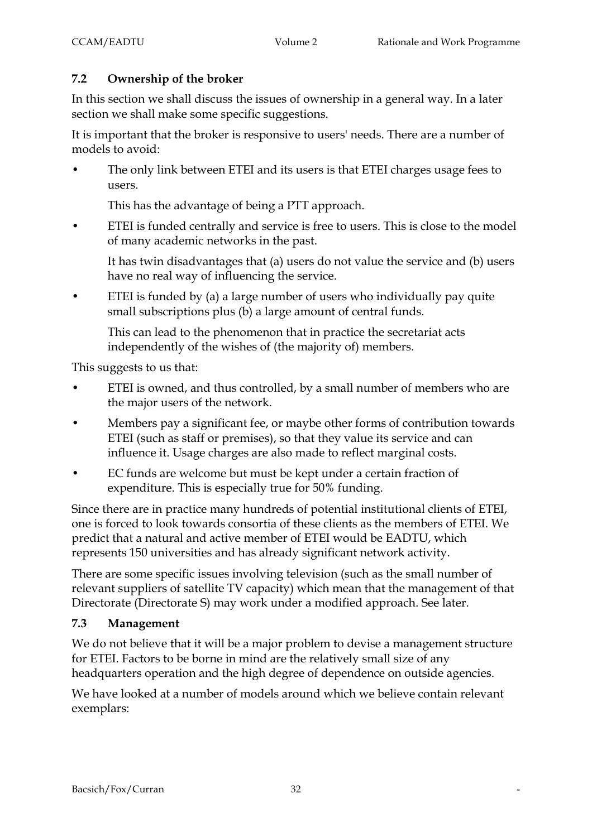### **7.2 Ownership of the broker**

In this section we shall discuss the issues of ownership in a general way. In a later section we shall make some specific suggestions.

It is important that the broker is responsive to users' needs. There are a number of models to avoid:

• The only link between ETEI and its users is that ETEI charges usage fees to users.

This has the advantage of being a PTT approach.

• ETEI is funded centrally and service is free to users. This is close to the model of many academic networks in the past.

It has twin disadvantages that (a) users do not value the service and (b) users have no real way of influencing the service.

• ETEI is funded by (a) a large number of users who individually pay quite small subscriptions plus (b) a large amount of central funds.

This can lead to the phenomenon that in practice the secretariat acts independently of the wishes of (the majority of) members.

This suggests to us that:

- ETEI is owned, and thus controlled, by a small number of members who are the major users of the network.
- Members pay a significant fee, or maybe other forms of contribution towards ETEI (such as staff or premises), so that they value its service and can influence it. Usage charges are also made to reflect marginal costs.
- EC funds are welcome but must be kept under a certain fraction of expenditure. This is especially true for 50% funding.

Since there are in practice many hundreds of potential institutional clients of ETEI, one is forced to look towards consortia of these clients as the members of ETEI. We predict that a natural and active member of ETEI would be EADTU, which represents 150 universities and has already significant network activity.

There are some specific issues involving television (such as the small number of relevant suppliers of satellite TV capacity) which mean that the management of that Directorate (Directorate S) may work under a modified approach. See later.

### **7.3 Management**

We do not believe that it will be a major problem to devise a management structure for ETEI. Factors to be borne in mind are the relatively small size of any headquarters operation and the high degree of dependence on outside agencies.

We have looked at a number of models around which we believe contain relevant exemplars: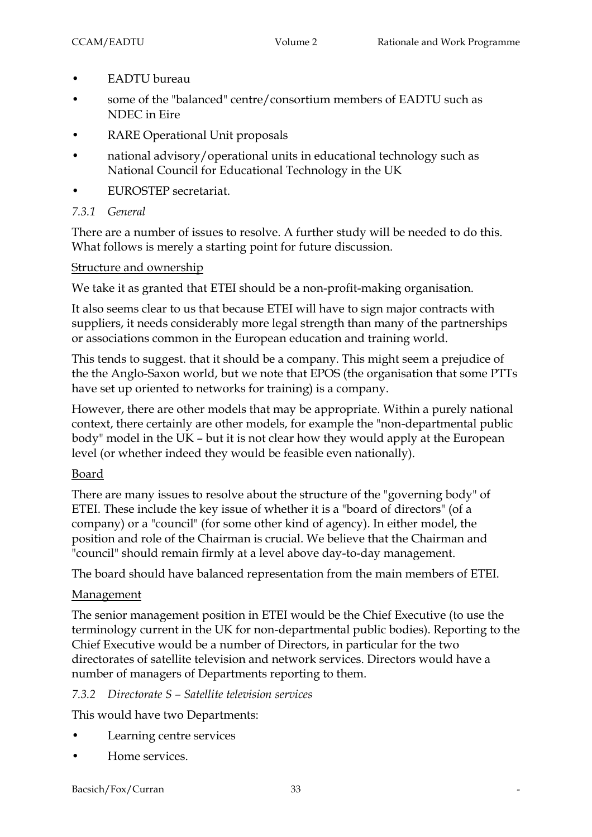- EADTU bureau
- some of the "balanced" centre/consortium members of EADTU such as NDEC in Eire
- RARE Operational Unit proposals
- national advisory/operational units in educational technology such as National Council for Educational Technology in the UK
- EUROSTEP secretariat.
- *7.3.1 General*

There are a number of issues to resolve. A further study will be needed to do this. What follows is merely a starting point for future discussion.

#### Structure and ownership

We take it as granted that ETEI should be a non-profit-making organisation.

It also seems clear to us that because ETEI will have to sign major contracts with suppliers, it needs considerably more legal strength than many of the partnerships or associations common in the European education and training world.

This tends to suggest. that it should be a company. This might seem a prejudice of the the Anglo-Saxon world, but we note that EPOS (the organisation that some PTTs have set up oriented to networks for training) is a company.

However, there are other models that may be appropriate. Within a purely national context, there certainly are other models, for example the "non-departmental public body" model in the UK – but it is not clear how they would apply at the European level (or whether indeed they would be feasible even nationally).

### Board

There are many issues to resolve about the structure of the "governing body" of ETEI. These include the key issue of whether it is a "board of directors" (of a company) or a "council" (for some other kind of agency). In either model, the position and role of the Chairman is crucial. We believe that the Chairman and "council" should remain firmly at a level above day-to-day management.

The board should have balanced representation from the main members of ETEI.

### **Management**

The senior management position in ETEI would be the Chief Executive (to use the terminology current in the UK for non-departmental public bodies). Reporting to the Chief Executive would be a number of Directors, in particular for the two directorates of satellite television and network services. Directors would have a number of managers of Departments reporting to them.

### *7.3.2 Directorate S – Satellite television services*

This would have two Departments:

- Learning centre services
- Home services.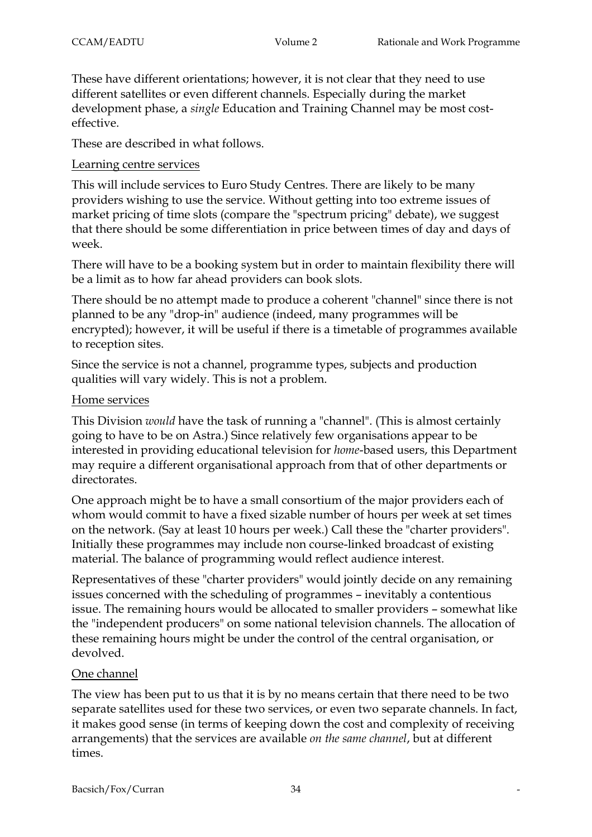These have different orientations; however, it is not clear that they need to use different satellites or even different channels. Especially during the market development phase, a *single* Education and Training Channel may be most costeffective.

These are described in what follows.

#### Learning centre services

This will include services to Euro Study Centres. There are likely to be many providers wishing to use the service. Without getting into too extreme issues of market pricing of time slots (compare the "spectrum pricing" debate), we suggest that there should be some differentiation in price between times of day and days of week.

There will have to be a booking system but in order to maintain flexibility there will be a limit as to how far ahead providers can book slots.

There should be no attempt made to produce a coherent "channel" since there is not planned to be any "drop-in" audience (indeed, many programmes will be encrypted); however, it will be useful if there is a timetable of programmes available to reception sites.

Since the service is not a channel, programme types, subjects and production qualities will vary widely. This is not a problem.

#### Home services

This Division *would* have the task of running a "channel". (This is almost certainly going to have to be on Astra.) Since relatively few organisations appear to be interested in providing educational television for *home*-based users, this Department may require a different organisational approach from that of other departments or directorates.

One approach might be to have a small consortium of the major providers each of whom would commit to have a fixed sizable number of hours per week at set times on the network. (Say at least 10 hours per week.) Call these the "charter providers". Initially these programmes may include non course-linked broadcast of existing material. The balance of programming would reflect audience interest.

Representatives of these "charter providers" would jointly decide on any remaining issues concerned with the scheduling of programmes – inevitably a contentious issue. The remaining hours would be allocated to smaller providers – somewhat like the "independent producers" on some national television channels. The allocation of these remaining hours might be under the control of the central organisation, or devolved.

### One channel

The view has been put to us that it is by no means certain that there need to be two separate satellites used for these two services, or even two separate channels. In fact, it makes good sense (in terms of keeping down the cost and complexity of receiving arrangements) that the services are available *on the same channel*, but at different times.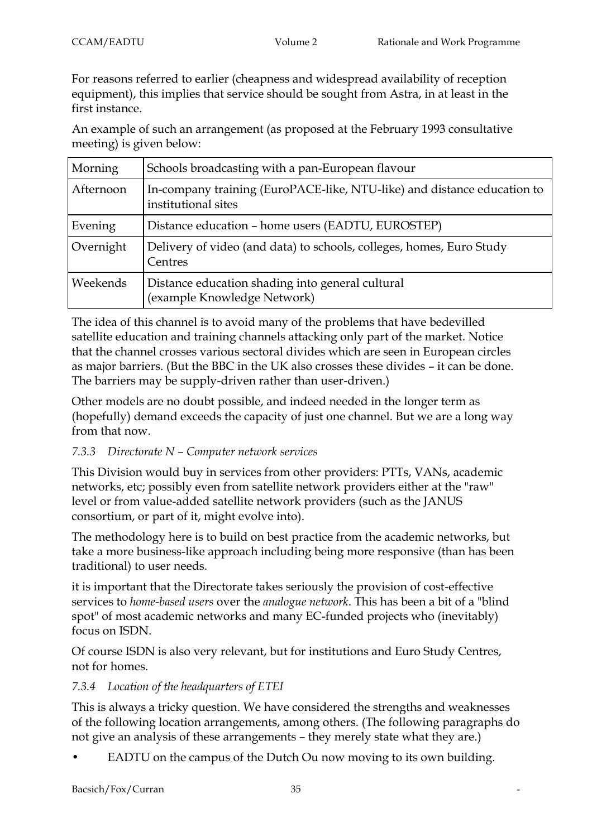For reasons referred to earlier (cheapness and widespread availability of reception equipment), this implies that service should be sought from Astra, in at least in the first instance.

An example of such an arrangement (as proposed at the February 1993 consultative meeting) is given below:

| Morning   | Schools broadcasting with a pan-European flavour                                               |
|-----------|------------------------------------------------------------------------------------------------|
| Afternoon | In-company training (EuroPACE-like, NTU-like) and distance education to<br>institutional sites |
| Evening   | Distance education - home users (EADTU, EUROSTEP)                                              |
| Overnight | Delivery of video (and data) to schools, colleges, homes, Euro Study<br>Centres                |
| Weekends  | Distance education shading into general cultural<br>(example Knowledge Network)                |

The idea of this channel is to avoid many of the problems that have bedevilled satellite education and training channels attacking only part of the market. Notice that the channel crosses various sectoral divides which are seen in European circles as major barriers. (But the BBC in the UK also crosses these divides – it can be done. The barriers may be supply-driven rather than user-driven.)

Other models are no doubt possible, and indeed needed in the longer term as (hopefully) demand exceeds the capacity of just one channel. But we are a long way from that now.

### *7.3.3 Directorate N – Computer network services*

This Division would buy in services from other providers: PTTs, VANs, academic networks, etc; possibly even from satellite network providers either at the "raw" level or from value-added satellite network providers (such as the JANUS consortium, or part of it, might evolve into).

The methodology here is to build on best practice from the academic networks, but take a more business-like approach including being more responsive (than has been traditional) to user needs.

it is important that the Directorate takes seriously the provision of cost-effective services to *home-based users* over the *analogue network*. This has been a bit of a "blind spot" of most academic networks and many EC-funded projects who (inevitably) focus on ISDN.

Of course ISDN is also very relevant, but for institutions and Euro Study Centres, not for homes.

### *7.3.4 Location of the headquarters of ETEI*

This is always a tricky question. We have considered the strengths and weaknesses of the following location arrangements, among others. (The following paragraphs do not give an analysis of these arrangements – they merely state what they are.)

EADTU on the campus of the Dutch Ou now moving to its own building.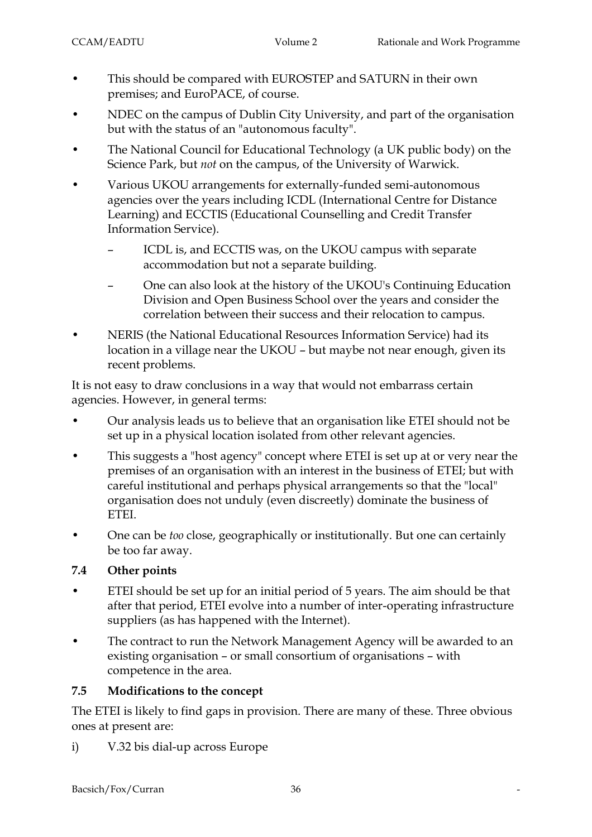- This should be compared with EUROSTEP and SATURN in their own premises; and EuroPACE, of course.
- NDEC on the campus of Dublin City University, and part of the organisation but with the status of an "autonomous faculty".
- The National Council for Educational Technology (a UK public body) on the Science Park, but *not* on the campus, of the University of Warwick.
- Various UKOU arrangements for externally-funded semi-autonomous agencies over the years including ICDL (International Centre for Distance Learning) and ECCTIS (Educational Counselling and Credit Transfer Information Service).
	- ICDL is, and ECCTIS was, on the UKOU campus with separate accommodation but not a separate building.
	- One can also look at the history of the UKOU's Continuing Education Division and Open Business School over the years and consider the correlation between their success and their relocation to campus.
- NERIS (the National Educational Resources Information Service) had its location in a village near the UKOU – but maybe not near enough, given its recent problems.

It is not easy to draw conclusions in a way that would not embarrass certain agencies. However, in general terms:

- Our analysis leads us to believe that an organisation like ETEI should not be set up in a physical location isolated from other relevant agencies.
- This suggests a "host agency" concept where ETEI is set up at or very near the premises of an organisation with an interest in the business of ETEI; but with careful institutional and perhaps physical arrangements so that the "local" organisation does not unduly (even discreetly) dominate the business of ETEI.
- One can be *too* close, geographically or institutionally. But one can certainly be too far away.

# **7.4 Other points**

- ETEI should be set up for an initial period of 5 years. The aim should be that after that period, ETEI evolve into a number of inter-operating infrastructure suppliers (as has happened with the Internet).
- The contract to run the Network Management Agency will be awarded to an existing organisation – or small consortium of organisations – with competence in the area.

### **7.5 Modifications to the concept**

The ETEI is likely to find gaps in provision. There are many of these. Three obvious ones at present are:

i) V.32 bis dial-up across Europe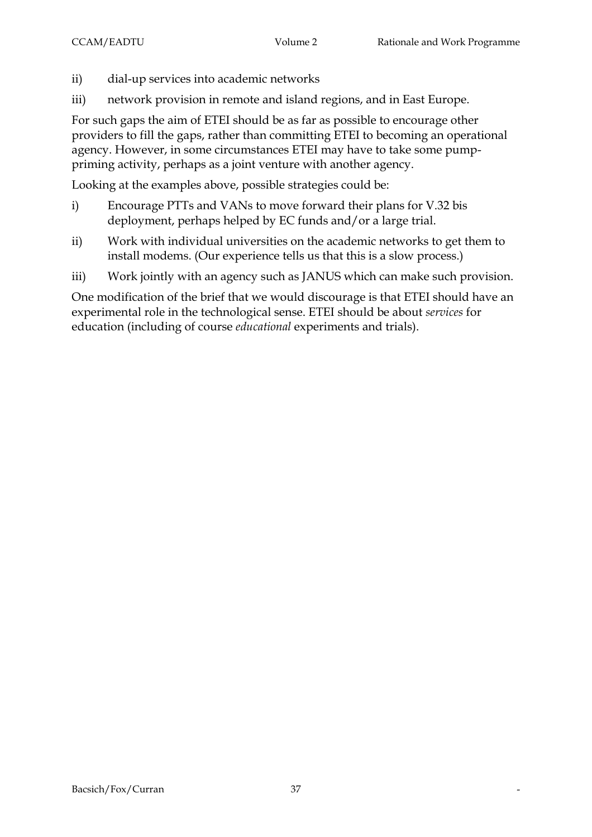- ii) dial-up services into academic networks
- iii) network provision in remote and island regions, and in East Europe.

For such gaps the aim of ETEI should be as far as possible to encourage other providers to fill the gaps, rather than committing ETEI to becoming an operational agency. However, in some circumstances ETEI may have to take some pumppriming activity, perhaps as a joint venture with another agency.

Looking at the examples above, possible strategies could be:

- i) Encourage PTTs and VANs to move forward their plans for V.32 bis deployment, perhaps helped by EC funds and/or a large trial.
- ii) Work with individual universities on the academic networks to get them to install modems. (Our experience tells us that this is a slow process.)
- iii) Work jointly with an agency such as JANUS which can make such provision.

One modification of the brief that we would discourage is that ETEI should have an experimental role in the technological sense. ETEI should be about *services* for education (including of course *educational* experiments and trials).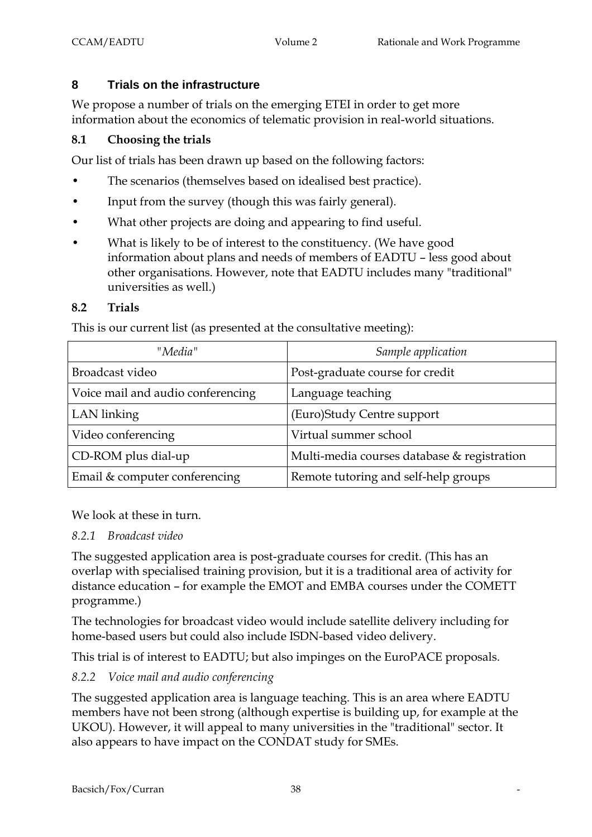### **8 Trials on the infrastructure**

We propose a number of trials on the emerging ETEI in order to get more information about the economics of telematic provision in real-world situations.

### **8.1 Choosing the trials**

Our list of trials has been drawn up based on the following factors:

- The scenarios (themselves based on idealised best practice).
- Input from the survey (though this was fairly general).
- What other projects are doing and appearing to find useful.
- What is likely to be of interest to the constituency. (We have good information about plans and needs of members of EADTU – less good about other organisations. However, note that EADTU includes many "traditional" universities as well.)

#### **8.2 Trials**

This is our current list (as presented at the consultative meeting):

| "Media"                           | Sample application                          |
|-----------------------------------|---------------------------------------------|
| Broadcast video                   | Post-graduate course for credit             |
| Voice mail and audio conferencing | Language teaching                           |
| LAN linking                       | (Euro)Study Centre support                  |
| Video conferencing                | Virtual summer school                       |
| CD-ROM plus dial-up               | Multi-media courses database & registration |
| Email & computer conferencing     | Remote tutoring and self-help groups        |

We look at these in turn.

#### *8.2.1 Broadcast video*

The suggested application area is post-graduate courses for credit. (This has an overlap with specialised training provision, but it is a traditional area of activity for distance education – for example the EMOT and EMBA courses under the COMETT programme.)

The technologies for broadcast video would include satellite delivery including for home-based users but could also include ISDN-based video delivery.

This trial is of interest to EADTU; but also impinges on the EuroPACE proposals.

# *8.2.2 Voice mail and audio conferencing*

The suggested application area is language teaching. This is an area where EADTU members have not been strong (although expertise is building up, for example at the UKOU). However, it will appeal to many universities in the "traditional" sector. It also appears to have impact on the CONDAT study for SMEs.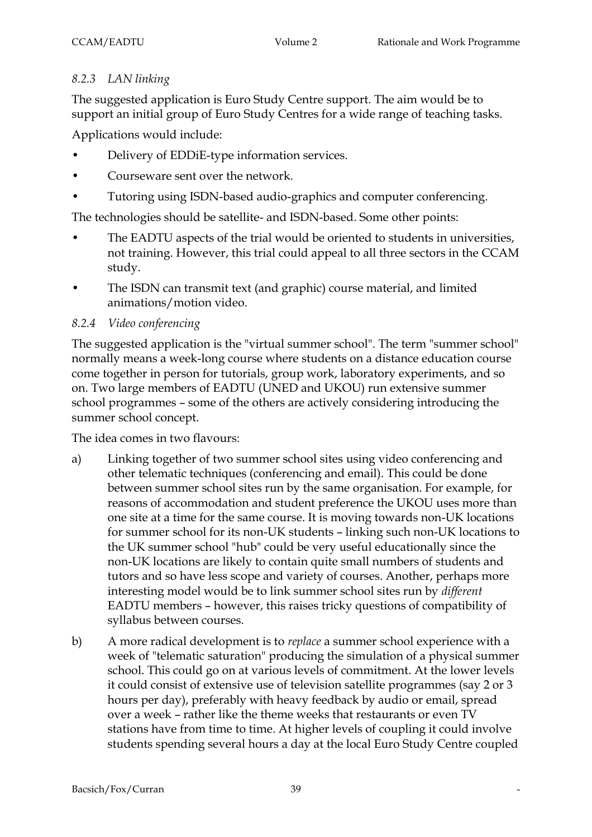### *8.2.3 LAN linking*

The suggested application is Euro Study Centre support. The aim would be to support an initial group of Euro Study Centres for a wide range of teaching tasks.

Applications would include:

- Delivery of EDDiE-type information services.
- Courseware sent over the network.
- Tutoring using ISDN-based audio-graphics and computer conferencing.

The technologies should be satellite- and ISDN-based. Some other points:

- The EADTU aspects of the trial would be oriented to students in universities, not training. However, this trial could appeal to all three sectors in the CCAM study.
- The ISDN can transmit text (and graphic) course material, and limited animations/motion video.

### *8.2.4 Video conferencing*

The suggested application is the "virtual summer school". The term "summer school" normally means a week-long course where students on a distance education course come together in person for tutorials, group work, laboratory experiments, and so on. Two large members of EADTU (UNED and UKOU) run extensive summer school programmes – some of the others are actively considering introducing the summer school concept.

The idea comes in two flavours:

- a) Linking together of two summer school sites using video conferencing and other telematic techniques (conferencing and email). This could be done between summer school sites run by the same organisation. For example, for reasons of accommodation and student preference the UKOU uses more than one site at a time for the same course. It is moving towards non-UK locations for summer school for its non-UK students – linking such non-UK locations to the UK summer school "hub" could be very useful educationally since the non-UK locations are likely to contain quite small numbers of students and tutors and so have less scope and variety of courses. Another, perhaps more interesting model would be to link summer school sites run by *different* EADTU members – however, this raises tricky questions of compatibility of syllabus between courses.
- b) A more radical development is to *replace* a summer school experience with a week of "telematic saturation" producing the simulation of a physical summer school. This could go on at various levels of commitment. At the lower levels it could consist of extensive use of television satellite programmes (say 2 or 3 hours per day), preferably with heavy feedback by audio or email, spread over a week – rather like the theme weeks that restaurants or even TV stations have from time to time. At higher levels of coupling it could involve students spending several hours a day at the local Euro Study Centre coupled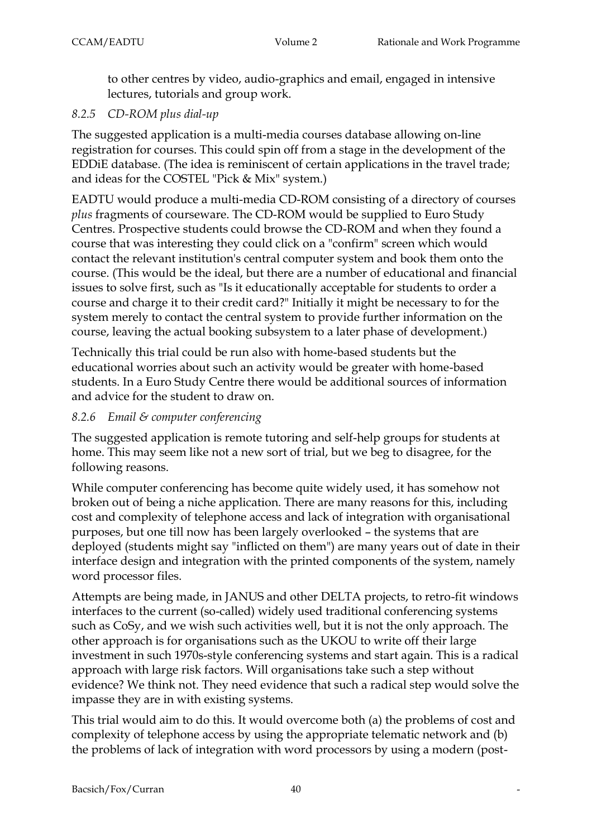to other centres by video, audio-graphics and email, engaged in intensive lectures, tutorials and group work.

### *8.2.5 CD-ROM plus dial-up*

The suggested application is a multi-media courses database allowing on-line registration for courses. This could spin off from a stage in the development of the EDDiE database. (The idea is reminiscent of certain applications in the travel trade; and ideas for the COSTEL "Pick & Mix" system.)

EADTU would produce a multi-media CD-ROM consisting of a directory of courses *plus* fragments of courseware. The CD-ROM would be supplied to Euro Study Centres. Prospective students could browse the CD-ROM and when they found a course that was interesting they could click on a "confirm" screen which would contact the relevant institution's central computer system and book them onto the course. (This would be the ideal, but there are a number of educational and financial issues to solve first, such as "Is it educationally acceptable for students to order a course and charge it to their credit card?" Initially it might be necessary to for the system merely to contact the central system to provide further information on the course, leaving the actual booking subsystem to a later phase of development.)

Technically this trial could be run also with home-based students but the educational worries about such an activity would be greater with home-based students. In a Euro Study Centre there would be additional sources of information and advice for the student to draw on.

### *8.2.6 Email & computer conferencing*

The suggested application is remote tutoring and self-help groups for students at home. This may seem like not a new sort of trial, but we beg to disagree, for the following reasons.

While computer conferencing has become quite widely used, it has somehow not broken out of being a niche application. There are many reasons for this, including cost and complexity of telephone access and lack of integration with organisational purposes, but one till now has been largely overlooked – the systems that are deployed (students might say "inflicted on them") are many years out of date in their interface design and integration with the printed components of the system, namely word processor files.

Attempts are being made, in JANUS and other DELTA projects, to retro-fit windows interfaces to the current (so-called) widely used traditional conferencing systems such as CoSy, and we wish such activities well, but it is not the only approach. The other approach is for organisations such as the UKOU to write off their large investment in such 1970s-style conferencing systems and start again. This is a radical approach with large risk factors. Will organisations take such a step without evidence? We think not. They need evidence that such a radical step would solve the impasse they are in with existing systems.

This trial would aim to do this. It would overcome both (a) the problems of cost and complexity of telephone access by using the appropriate telematic network and (b) the problems of lack of integration with word processors by using a modern (post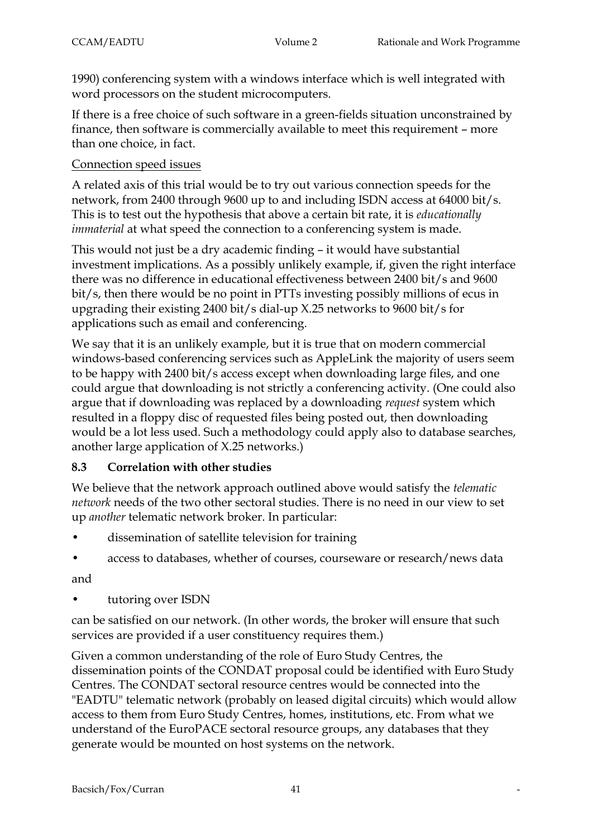1990) conferencing system with a windows interface which is well integrated with word processors on the student microcomputers.

If there is a free choice of such software in a green-fields situation unconstrained by finance, then software is commercially available to meet this requirement – more than one choice, in fact.

### Connection speed issues

A related axis of this trial would be to try out various connection speeds for the network, from 2400 through 9600 up to and including ISDN access at 64000 bit/s. This is to test out the hypothesis that above a certain bit rate, it is *educationally immaterial* at what speed the connection to a conferencing system is made.

This would not just be a dry academic finding – it would have substantial investment implications. As a possibly unlikely example, if, given the right interface there was no difference in educational effectiveness between 2400 bit/s and 9600 bit/s, then there would be no point in PTTs investing possibly millions of ecus in upgrading their existing 2400 bit/s dial-up X.25 networks to 9600 bit/s for applications such as email and conferencing.

We say that it is an unlikely example, but it is true that on modern commercial windows-based conferencing services such as AppleLink the majority of users seem to be happy with 2400 bit/s access except when downloading large files, and one could argue that downloading is not strictly a conferencing activity. (One could also argue that if downloading was replaced by a downloading *request* system which resulted in a floppy disc of requested files being posted out, then downloading would be a lot less used. Such a methodology could apply also to database searches, another large application of X.25 networks.)

### **8.3 Correlation with other studies**

We believe that the network approach outlined above would satisfy the *telematic network* needs of the two other sectoral studies. There is no need in our view to set up *another* telematic network broker. In particular:

- dissemination of satellite television for training
- access to databases, whether of courses, courseware or research/news data

and

• tutoring over ISDN

can be satisfied on our network. (In other words, the broker will ensure that such services are provided if a user constituency requires them.)

Given a common understanding of the role of Euro Study Centres, the dissemination points of the CONDAT proposal could be identified with Euro Study Centres. The CONDAT sectoral resource centres would be connected into the "EADTU" telematic network (probably on leased digital circuits) which would allow access to them from Euro Study Centres, homes, institutions, etc. From what we understand of the EuroPACE sectoral resource groups, any databases that they generate would be mounted on host systems on the network.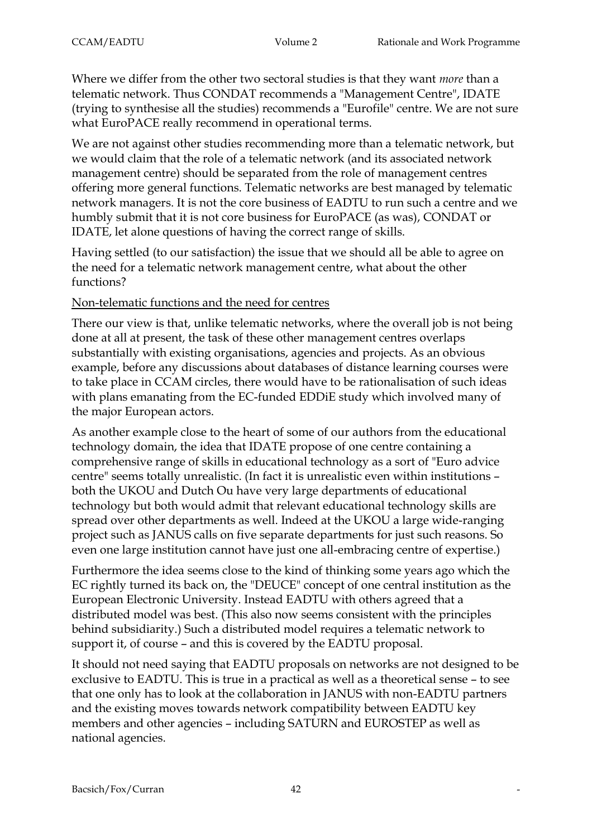Where we differ from the other two sectoral studies is that they want *more* than a telematic network. Thus CONDAT recommends a "Management Centre", IDATE (trying to synthesise all the studies) recommends a "Eurofile" centre. We are not sure what EuroPACE really recommend in operational terms.

We are not against other studies recommending more than a telematic network, but we would claim that the role of a telematic network (and its associated network management centre) should be separated from the role of management centres offering more general functions. Telematic networks are best managed by telematic network managers. It is not the core business of EADTU to run such a centre and we humbly submit that it is not core business for EuroPACE (as was), CONDAT or IDATE, let alone questions of having the correct range of skills.

Having settled (to our satisfaction) the issue that we should all be able to agree on the need for a telematic network management centre, what about the other functions?

#### Non-telematic functions and the need for centres

There our view is that, unlike telematic networks, where the overall job is not being done at all at present, the task of these other management centres overlaps substantially with existing organisations, agencies and projects. As an obvious example, before any discussions about databases of distance learning courses were to take place in CCAM circles, there would have to be rationalisation of such ideas with plans emanating from the EC-funded EDDiE study which involved many of the major European actors.

As another example close to the heart of some of our authors from the educational technology domain, the idea that IDATE propose of one centre containing a comprehensive range of skills in educational technology as a sort of "Euro advice centre" seems totally unrealistic. (In fact it is unrealistic even within institutions – both the UKOU and Dutch Ou have very large departments of educational technology but both would admit that relevant educational technology skills are spread over other departments as well. Indeed at the UKOU a large wide-ranging project such as JANUS calls on five separate departments for just such reasons. So even one large institution cannot have just one all-embracing centre of expertise.)

Furthermore the idea seems close to the kind of thinking some years ago which the EC rightly turned its back on, the "DEUCE" concept of one central institution as the European Electronic University. Instead EADTU with others agreed that a distributed model was best. (This also now seems consistent with the principles behind subsidiarity.) Such a distributed model requires a telematic network to support it, of course – and this is covered by the EADTU proposal.

It should not need saying that EADTU proposals on networks are not designed to be exclusive to EADTU. This is true in a practical as well as a theoretical sense – to see that one only has to look at the collaboration in JANUS with non-EADTU partners and the existing moves towards network compatibility between EADTU key members and other agencies – including SATURN and EUROSTEP as well as national agencies.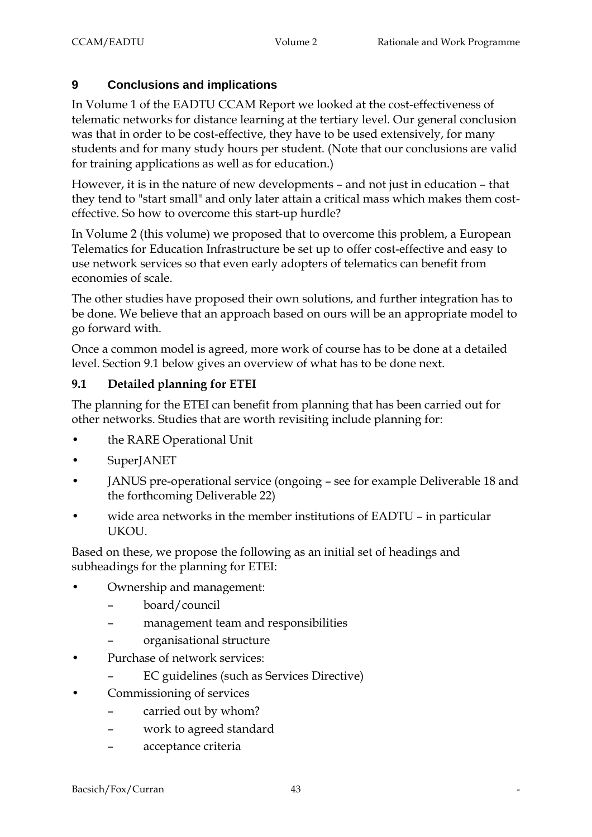### **9 Conclusions and implications**

In Volume 1 of the EADTU CCAM Report we looked at the cost-effectiveness of telematic networks for distance learning at the tertiary level. Our general conclusion was that in order to be cost-effective, they have to be used extensively, for many students and for many study hours per student. (Note that our conclusions are valid for training applications as well as for education.)

However, it is in the nature of new developments – and not just in education – that they tend to "start small" and only later attain a critical mass which makes them costeffective. So how to overcome this start-up hurdle?

In Volume 2 (this volume) we proposed that to overcome this problem, a European Telematics for Education Infrastructure be set up to offer cost-effective and easy to use network services so that even early adopters of telematics can benefit from economies of scale.

The other studies have proposed their own solutions, and further integration has to be done. We believe that an approach based on ours will be an appropriate model to go forward with.

Once a common model is agreed, more work of course has to be done at a detailed level. Section 9.1 below gives an overview of what has to be done next.

#### **9.1 Detailed planning for ETEI**

The planning for the ETEI can benefit from planning that has been carried out for other networks. Studies that are worth revisiting include planning for:

- the RARE Operational Unit
- SuperJANET
- JANUS pre-operational service (ongoing see for example Deliverable 18 and the forthcoming Deliverable 22)
- wide area networks in the member institutions of EADTU in particular UKOU.

Based on these, we propose the following as an initial set of headings and subheadings for the planning for ETEI:

- Ownership and management:
	- board/council
	- management team and responsibilities
	- organisational structure
- Purchase of network services:
	- EC guidelines (such as Services Directive)
- Commissioning of services
	- carried out by whom?
	- work to agreed standard
	- acceptance criteria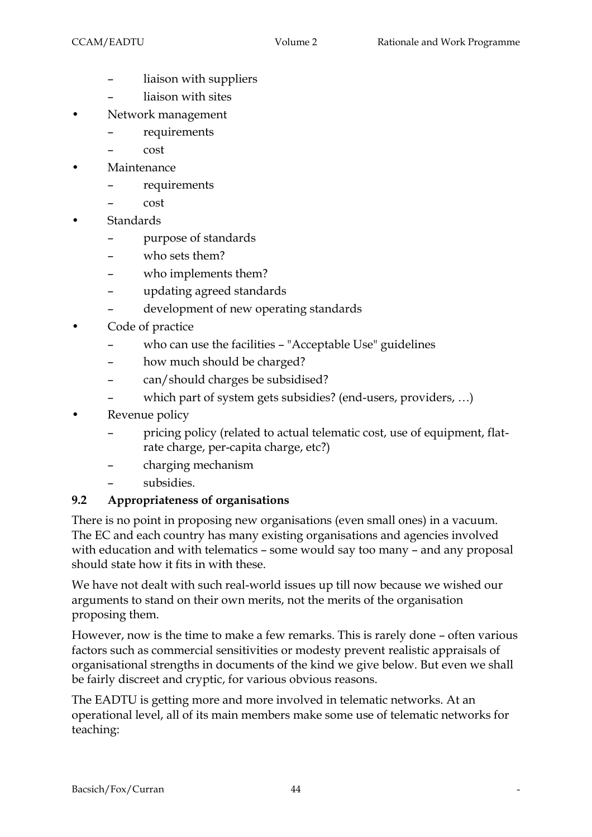- liaison with suppliers
- liaison with sites
- Network management
	- requirements
	- cost
- **Maintenance** 
	- requirements
	- cost
- **Standards** 
	- purpose of standards
	- who sets them?
	- who implements them?
	- updating agreed standards
	- development of new operating standards
- Code of practice
	- who can use the facilities "Acceptable Use" guidelines
	- how much should be charged?
	- can/should charges be subsidised?
	- which part of system gets subsidies? (end-users, providers, ...)
- Revenue policy
	- pricing policy (related to actual telematic cost, use of equipment, flatrate charge, per-capita charge, etc?)
	- charging mechanism
	- subsidies.

### **9.2 Appropriateness of organisations**

There is no point in proposing new organisations (even small ones) in a vacuum. The EC and each country has many existing organisations and agencies involved with education and with telematics – some would say too many – and any proposal should state how it fits in with these.

We have not dealt with such real-world issues up till now because we wished our arguments to stand on their own merits, not the merits of the organisation proposing them.

However, now is the time to make a few remarks. This is rarely done – often various factors such as commercial sensitivities or modesty prevent realistic appraisals of organisational strengths in documents of the kind we give below. But even we shall be fairly discreet and cryptic, for various obvious reasons.

The EADTU is getting more and more involved in telematic networks. At an operational level, all of its main members make some use of telematic networks for teaching: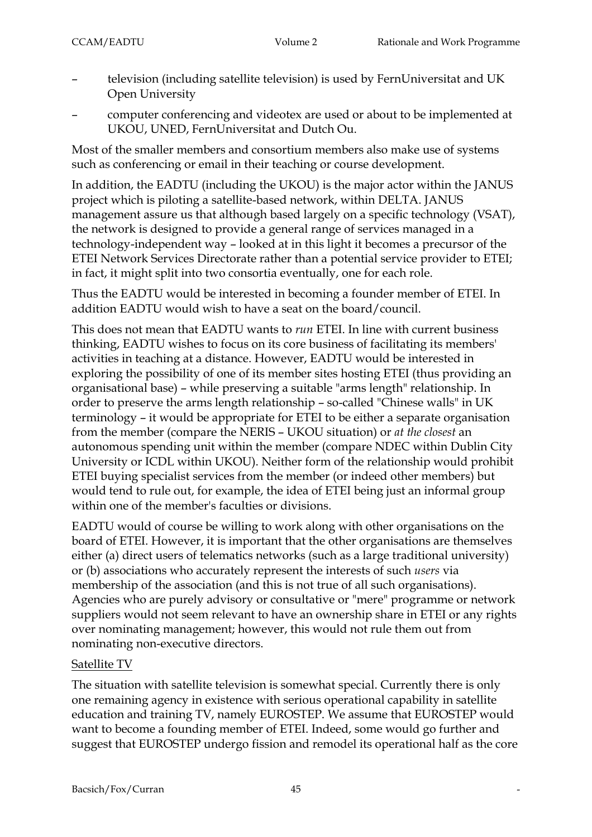- television (including satellite television) is used by FernUniversitat and UK Open University
- computer conferencing and videotex are used or about to be implemented at UKOU, UNED, FernUniversitat and Dutch Ou.

Most of the smaller members and consortium members also make use of systems such as conferencing or email in their teaching or course development.

In addition, the EADTU (including the UKOU) is the major actor within the JANUS project which is piloting a satellite-based network, within DELTA. JANUS management assure us that although based largely on a specific technology (VSAT), the network is designed to provide a general range of services managed in a technology-independent way – looked at in this light it becomes a precursor of the ETEI Network Services Directorate rather than a potential service provider to ETEI; in fact, it might split into two consortia eventually, one for each role.

Thus the EADTU would be interested in becoming a founder member of ETEI. In addition EADTU would wish to have a seat on the board/council.

This does not mean that EADTU wants to *run* ETEI. In line with current business thinking, EADTU wishes to focus on its core business of facilitating its members' activities in teaching at a distance. However, EADTU would be interested in exploring the possibility of one of its member sites hosting ETEI (thus providing an organisational base) – while preserving a suitable "arms length" relationship. In order to preserve the arms length relationship – so-called "Chinese walls" in UK terminology – it would be appropriate for ETEI to be either a separate organisation from the member (compare the NERIS – UKOU situation) or *at the closest* an autonomous spending unit within the member (compare NDEC within Dublin City University or ICDL within UKOU). Neither form of the relationship would prohibit ETEI buying specialist services from the member (or indeed other members) but would tend to rule out, for example, the idea of ETEI being just an informal group within one of the member's faculties or divisions.

EADTU would of course be willing to work along with other organisations on the board of ETEI. However, it is important that the other organisations are themselves either (a) direct users of telematics networks (such as a large traditional university) or (b) associations who accurately represent the interests of such *users* via membership of the association (and this is not true of all such organisations). Agencies who are purely advisory or consultative or "mere" programme or network suppliers would not seem relevant to have an ownership share in ETEI or any rights over nominating management; however, this would not rule them out from nominating non-executive directors.

### Satellite TV

The situation with satellite television is somewhat special. Currently there is only one remaining agency in existence with serious operational capability in satellite education and training TV, namely EUROSTEP. We assume that EUROSTEP would want to become a founding member of ETEI. Indeed, some would go further and suggest that EUROSTEP undergo fission and remodel its operational half as the core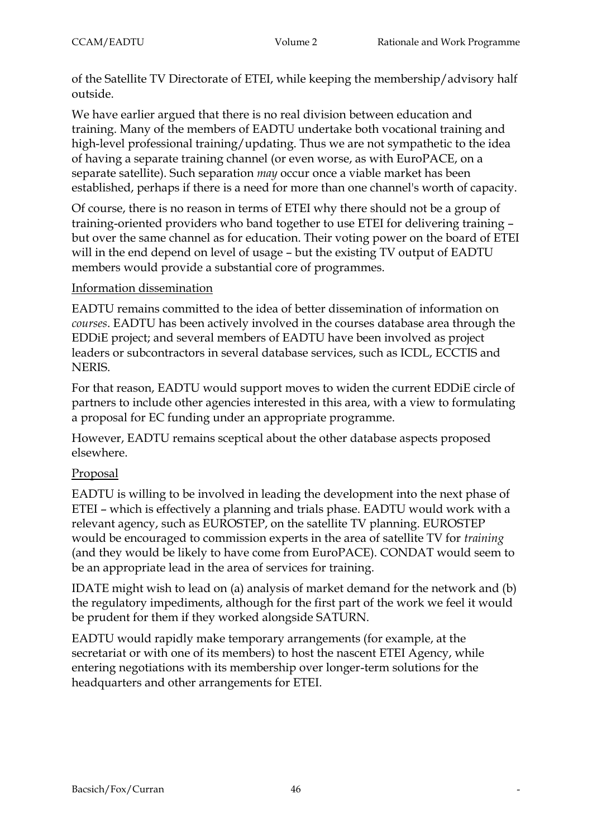of the Satellite TV Directorate of ETEI, while keeping the membership/advisory half outside.

We have earlier argued that there is no real division between education and training. Many of the members of EADTU undertake both vocational training and high-level professional training/updating. Thus we are not sympathetic to the idea of having a separate training channel (or even worse, as with EuroPACE, on a separate satellite). Such separation *may* occur once a viable market has been established, perhaps if there is a need for more than one channel's worth of capacity.

Of course, there is no reason in terms of ETEI why there should not be a group of training-oriented providers who band together to use ETEI for delivering training – but over the same channel as for education. Their voting power on the board of ETEI will in the end depend on level of usage – but the existing TV output of EADTU members would provide a substantial core of programmes.

#### Information dissemination

EADTU remains committed to the idea of better dissemination of information on *courses*. EADTU has been actively involved in the courses database area through the EDDiE project; and several members of EADTU have been involved as project leaders or subcontractors in several database services, such as ICDL, ECCTIS and NERIS.

For that reason, EADTU would support moves to widen the current EDDiE circle of partners to include other agencies interested in this area, with a view to formulating a proposal for EC funding under an appropriate programme.

However, EADTU remains sceptical about the other database aspects proposed elsewhere.

### Proposal

EADTU is willing to be involved in leading the development into the next phase of ETEI – which is effectively a planning and trials phase. EADTU would work with a relevant agency, such as EUROSTEP, on the satellite TV planning. EUROSTEP would be encouraged to commission experts in the area of satellite TV for *training* (and they would be likely to have come from EuroPACE). CONDAT would seem to be an appropriate lead in the area of services for training.

IDATE might wish to lead on (a) analysis of market demand for the network and (b) the regulatory impediments, although for the first part of the work we feel it would be prudent for them if they worked alongside SATURN.

EADTU would rapidly make temporary arrangements (for example, at the secretariat or with one of its members) to host the nascent ETEI Agency, while entering negotiations with its membership over longer-term solutions for the headquarters and other arrangements for ETEI.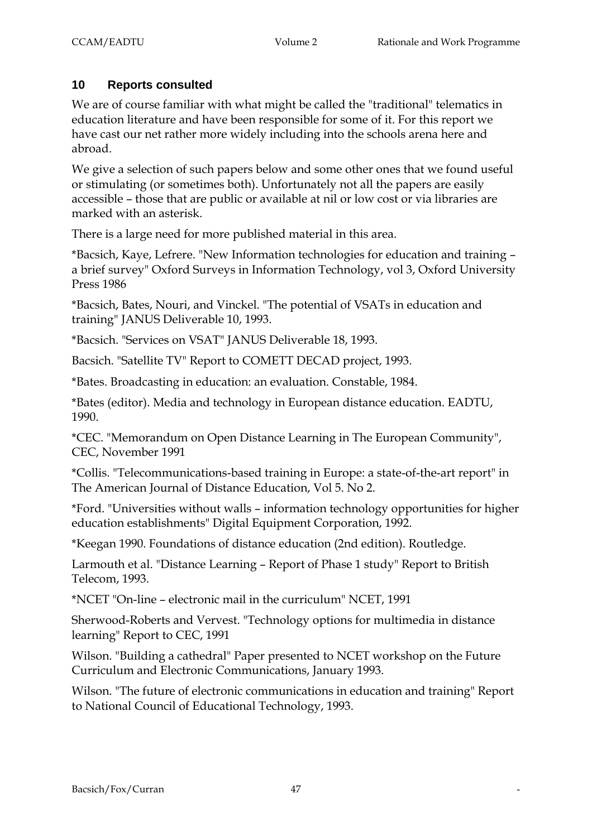### **10 Reports consulted**

We are of course familiar with what might be called the "traditional" telematics in education literature and have been responsible for some of it. For this report we have cast our net rather more widely including into the schools arena here and abroad.

We give a selection of such papers below and some other ones that we found useful or stimulating (or sometimes both). Unfortunately not all the papers are easily accessible – those that are public or available at nil or low cost or via libraries are marked with an asterisk.

There is a large need for more published material in this area.

\*Bacsich, Kaye, Lefrere. "New Information technologies for education and training – a brief survey" Oxford Surveys in Information Technology, vol 3, Oxford University Press 1986

\*Bacsich, Bates, Nouri, and Vinckel. "The potential of VSATs in education and training" JANUS Deliverable 10, 1993.

\*Bacsich. "Services on VSAT" JANUS Deliverable 18, 1993.

Bacsich. "Satellite TV" Report to COMETT DECAD project, 1993.

\*Bates. Broadcasting in education: an evaluation. Constable, 1984.

\*Bates (editor). Media and technology in European distance education. EADTU, 1990.

\*CEC. "Memorandum on Open Distance Learning in The European Community", CEC, November 1991

\*Collis. "Telecommunications-based training in Europe: a state-of-the-art report" in The American Journal of Distance Education, Vol 5. No 2.

\*Ford. "Universities without walls – information technology opportunities for higher education establishments" Digital Equipment Corporation, 1992.

\*Keegan 1990. Foundations of distance education (2nd edition). Routledge.

Larmouth et al. "Distance Learning – Report of Phase 1 study" Report to British Telecom, 1993.

\*NCET "On-line – electronic mail in the curriculum" NCET, 1991

Sherwood-Roberts and Vervest. "Technology options for multimedia in distance learning" Report to CEC, 1991

Wilson. "Building a cathedral" Paper presented to NCET workshop on the Future Curriculum and Electronic Communications, January 1993.

Wilson. "The future of electronic communications in education and training" Report to National Council of Educational Technology, 1993.